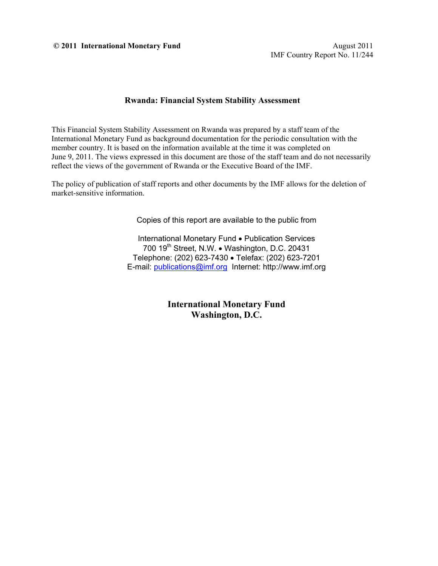**© 2011 International Monetary Fund** August 2011

#### **Rwanda: Financial System Stability Assessment**

This Financial System Stability Assessment on Rwanda was prepared by a staff team of the International Monetary Fund as background documentation for the periodic consultation with the member country. It is based on the information available at the time it was completed on June 9, 2011. The views expressed in this document are those of the staff team and do not necessarily reflect the views of the government of Rwanda or the Executive Board of the IMF.

The policy of publication of staff reports and other documents by the IMF allows for the deletion of market-sensitive information.

Copies of this report are available to the public from

International Monetary Fund • Publication Services 700 19<sup>th</sup> Street, N.W. • Washington, D.C. 20431 Telephone: (202) 623-7430 Telefax: (202) 623-7201 E-mail: publications@imf.org Internet: http://www.imf.org

> **International Monetary Fund Washington, D.C.**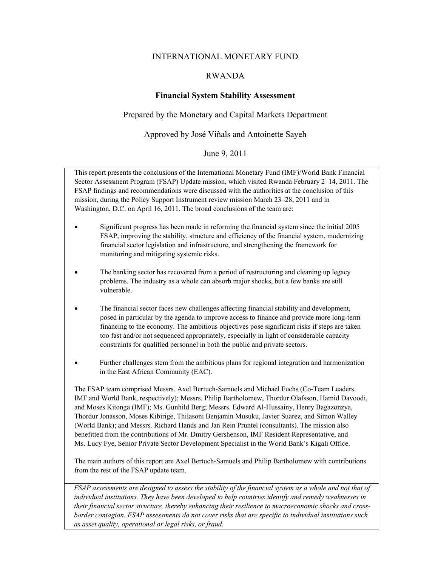#### INTERNATIONAL MONETARY FUND

#### RWANDA

#### **Financial System Stability Assessment**

#### Prepared by the Monetary and Capital Markets Department

#### Approved by José Viñals and Antoinette Sayeh

#### June 9, 2011

This report presents the conclusions of the International Monetary Fund (IMF)/World Bank Financial Sector Assessment Program (FSAP) Update mission, which visited Rwanda February 2–14, 2011. The FSAP findings and recommendations were discussed with the authorities at the conclusion of this mission, during the Policy Support Instrument review mission March 23–28, 2011 and in Washington, D.C. on April 16, 2011. The broad conclusions of the team are:

- Significant progress has been made in reforming the financial system since the initial 2005 FSAP, improving the stability, structure and efficiency of the financial system, modernizing financial sector legislation and infrastructure, and strengthening the framework for monitoring and mitigating systemic risks.
- The banking sector has recovered from a period of restructuring and cleaning up legacy problems. The industry as a whole can absorb major shocks, but a few banks are still vulnerable.
- The financial sector faces new challenges affecting financial stability and development, posed in particular by the agenda to improve access to finance and provide more long-term financing to the economy. The ambitious objectives pose significant risks if steps are taken too fast and/or not sequenced appropriately, especially in light of considerable capacity constraints for qualified personnel in both the public and private sectors.
- Further challenges stem from the ambitious plans for regional integration and harmonization in the East African Community (EAC).

The FSAP team comprised Messrs. Axel Bertuch-Samuels and Michael Fuchs (Co-Team Leaders, IMF and World Bank, respectively); Messrs. Philip Bartholomew, Thordur Olafsson, Hamid Davoodi, and Moses Kitonga (IMF); Ms. Gunhild Berg; Messrs. Edward Al-Hussainy, Henry Bagazonzya, Thordur Jonasson, Moses Kibirige, Thilasoni Benjamin Musuku, Javier Suarez, and Simon Walley (World Bank); and Messrs. Richard Hands and Jan Rein Pruntel (consultants). The mission also benefitted from the contributions of Mr. Dmitry Gershenson, IMF Resident Representative, and Ms. Lucy Fye, Senior Private Sector Development Specialist in the World Bank's Kigali Office.

The main authors of this report are Axel Bertuch-Samuels and Philip Bartholomew with contributions from the rest of the FSAP update team.

*FSAP assessments are designed to assess the stability of the financial system as a whole and not that of individual institutions. They have been developed to help countries identify and remedy weaknesses in their financial sector structure, thereby enhancing their resilience to macroeconomic shocks and crossborder contagion. FSAP assessments do not cover risks that are specific to individual institutions such as asset quality, operational or legal risks, or fraud.*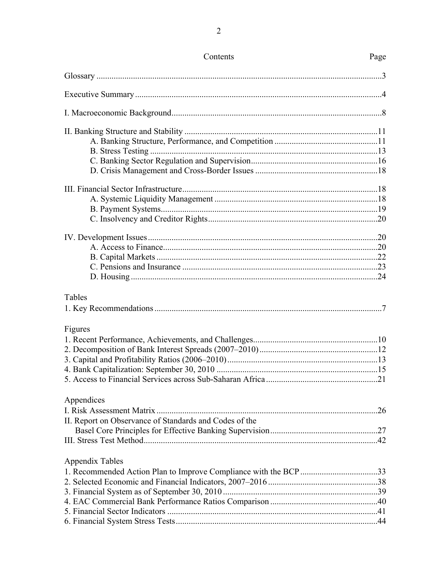| Contents                                               | Page |
|--------------------------------------------------------|------|
|                                                        |      |
|                                                        |      |
|                                                        |      |
|                                                        |      |
|                                                        |      |
|                                                        |      |
|                                                        |      |
|                                                        |      |
|                                                        |      |
|                                                        |      |
|                                                        |      |
|                                                        |      |
|                                                        |      |
|                                                        |      |
|                                                        |      |
|                                                        |      |
|                                                        |      |
| Tables                                                 |      |
|                                                        |      |
| Figures                                                |      |
|                                                        |      |
|                                                        |      |
|                                                        |      |
|                                                        |      |
|                                                        |      |
| Appendices                                             |      |
|                                                        |      |
| II. Report on Observance of Standards and Codes of the |      |
|                                                        |      |
|                                                        |      |
| <b>Appendix Tables</b>                                 |      |
|                                                        |      |
|                                                        |      |
|                                                        |      |
|                                                        |      |
|                                                        |      |
|                                                        |      |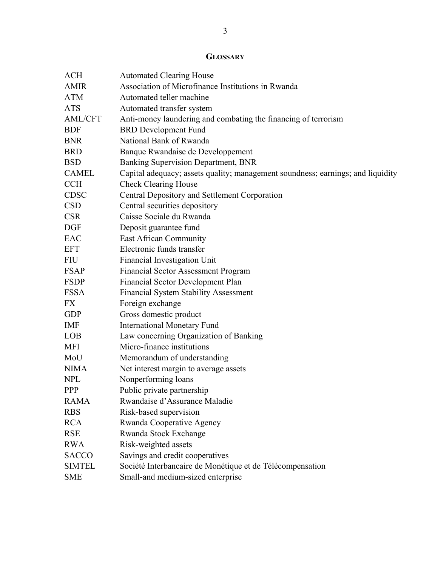# **GLOSSARY**

| <b>ACH</b>     | <b>Automated Clearing House</b>                                                 |
|----------------|---------------------------------------------------------------------------------|
| <b>AMIR</b>    | Association of Microfinance Institutions in Rwanda                              |
| <b>ATM</b>     | Automated teller machine                                                        |
| <b>ATS</b>     | Automated transfer system                                                       |
| <b>AML/CFT</b> | Anti-money laundering and combating the financing of terrorism                  |
| <b>BDF</b>     | <b>BRD</b> Development Fund                                                     |
| <b>BNR</b>     | National Bank of Rwanda                                                         |
| <b>BRD</b>     | Banque Rwandaise de Developpement                                               |
| <b>BSD</b>     | Banking Supervision Department, BNR                                             |
| <b>CAMEL</b>   | Capital adequacy; assets quality; management soundness; earnings; and liquidity |
| <b>CCH</b>     | <b>Check Clearing House</b>                                                     |
| <b>CDSC</b>    | Central Depository and Settlement Corporation                                   |
| <b>CSD</b>     | Central securities depository                                                   |
| <b>CSR</b>     | Caisse Sociale du Rwanda                                                        |
| <b>DGF</b>     | Deposit guarantee fund                                                          |
| EAC            | <b>East African Community</b>                                                   |
| <b>EFT</b>     | Electronic funds transfer                                                       |
| FIU            | Financial Investigation Unit                                                    |
| <b>FSAP</b>    | <b>Financial Sector Assessment Program</b>                                      |
| <b>FSDP</b>    | Financial Sector Development Plan                                               |
| <b>FSSA</b>    | <b>Financial System Stability Assessment</b>                                    |
| <b>FX</b>      | Foreign exchange                                                                |
| <b>GDP</b>     | Gross domestic product                                                          |
| <b>IMF</b>     | <b>International Monetary Fund</b>                                              |
| LOB            | Law concerning Organization of Banking                                          |
| <b>MFI</b>     | Micro-finance institutions                                                      |
| MoU            | Memorandum of understanding                                                     |
| <b>NIMA</b>    | Net interest margin to average assets                                           |
| <b>NPL</b>     | Nonperforming loans                                                             |
| <b>PPP</b>     | Public private partnership                                                      |
| <b>RAMA</b>    | Rwandaise d'Assurance Maladie                                                   |
| <b>RBS</b>     | Risk-based supervision                                                          |
| <b>RCA</b>     | Rwanda Cooperative Agency                                                       |
| <b>RSE</b>     | Rwanda Stock Exchange                                                           |
| <b>RWA</b>     | Risk-weighted assets                                                            |
| <b>SACCO</b>   | Savings and credit cooperatives                                                 |
| <b>SIMTEL</b>  | Société Interbancaire de Monétique et de Télécompensation                       |
| <b>SME</b>     | Small-and medium-sized enterprise                                               |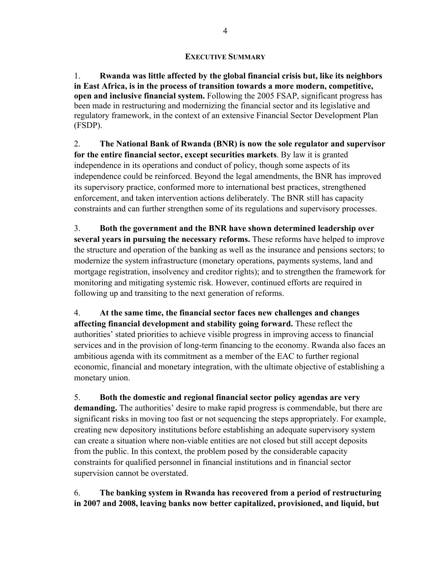#### **EXECUTIVE SUMMARY**

1. **Rwanda was little affected by the global financial crisis but, like its neighbors in East Africa, is in the process of transition towards a more modern, competitive, open and inclusive financial system.** Following the 2005 FSAP, significant progress has been made in restructuring and modernizing the financial sector and its legislative and regulatory framework, in the context of an extensive Financial Sector Development Plan (FSDP).

2. **The National Bank of Rwanda (BNR) is now the sole regulator and supervisor for the entire financial sector, except securities markets**. By law it is granted independence in its operations and conduct of policy, though some aspects of its independence could be reinforced. Beyond the legal amendments, the BNR has improved its supervisory practice, conformed more to international best practices, strengthened enforcement, and taken intervention actions deliberately. The BNR still has capacity constraints and can further strengthen some of its regulations and supervisory processes.

3. **Both the government and the BNR have shown determined leadership over several years in pursuing the necessary reforms.** These reforms have helped to improve the structure and operation of the banking as well as the insurance and pensions sectors; to modernize the system infrastructure (monetary operations, payments systems, land and mortgage registration, insolvency and creditor rights); and to strengthen the framework for monitoring and mitigating systemic risk. However, continued efforts are required in following up and transiting to the next generation of reforms.

4. **At the same time, the financial sector faces new challenges and changes affecting financial development and stability going forward.** These reflect the authorities' stated priorities to achieve visible progress in improving access to financial services and in the provision of long-term financing to the economy. Rwanda also faces an ambitious agenda with its commitment as a member of the EAC to further regional economic, financial and monetary integration, with the ultimate objective of establishing a monetary union.

5. **Both the domestic and regional financial sector policy agendas are very demanding.** The authorities' desire to make rapid progress is commendable, but there are significant risks in moving too fast or not sequencing the steps appropriately. For example, creating new depository institutions before establishing an adequate supervisory system can create a situation where non-viable entities are not closed but still accept deposits from the public. In this context, the problem posed by the considerable capacity constraints for qualified personnel in financial institutions and in financial sector supervision cannot be overstated.

6. **The banking system in Rwanda has recovered from a period of restructuring in 2007 and 2008, leaving banks now better capitalized, provisioned, and liquid, but**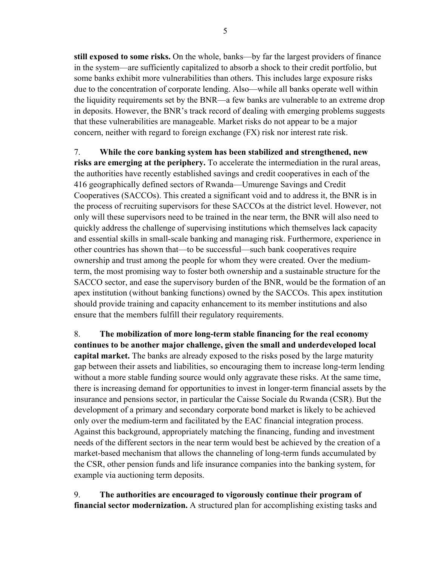**still exposed to some risks.** On the whole, banks—by far the largest providers of finance in the system—are sufficiently capitalized to absorb a shock to their credit portfolio, but some banks exhibit more vulnerabilities than others. This includes large exposure risks due to the concentration of corporate lending. Also—while all banks operate well within the liquidity requirements set by the BNR—a few banks are vulnerable to an extreme drop in deposits. However, the BNR's track record of dealing with emerging problems suggests that these vulnerabilities are manageable. Market risks do not appear to be a major concern, neither with regard to foreign exchange (FX) risk nor interest rate risk.

7. **While the core banking system has been stabilized and strengthened, new risks are emerging at the periphery.** To accelerate the intermediation in the rural areas, the authorities have recently established savings and credit cooperatives in each of the 416 geographically defined sectors of Rwanda—Umurenge Savings and Credit Cooperatives (SACCOs). This created a significant void and to address it, the BNR is in the process of recruiting supervisors for these SACCOs at the district level. However, not only will these supervisors need to be trained in the near term, the BNR will also need to quickly address the challenge of supervising institutions which themselves lack capacity and essential skills in small-scale banking and managing risk. Furthermore, experience in other countries has shown that—to be successful—such bank cooperatives require ownership and trust among the people for whom they were created. Over the mediumterm, the most promising way to foster both ownership and a sustainable structure for the SACCO sector, and ease the supervisory burden of the BNR, would be the formation of an apex institution (without banking functions) owned by the SACCOs. This apex institution should provide training and capacity enhancement to its member institutions and also ensure that the members fulfill their regulatory requirements.

8. **The mobilization of more long-term stable financing for the real economy continues to be another major challenge, given the small and underdeveloped local capital market.** The banks are already exposed to the risks posed by the large maturity gap between their assets and liabilities, so encouraging them to increase long-term lending without a more stable funding source would only aggravate these risks. At the same time, there is increasing demand for opportunities to invest in longer-term financial assets by the insurance and pensions sector, in particular the Caisse Sociale du Rwanda (CSR). But the development of a primary and secondary corporate bond market is likely to be achieved only over the medium-term and facilitated by the EAC financial integration process. Against this background, appropriately matching the financing, funding and investment needs of the different sectors in the near term would best be achieved by the creation of a market-based mechanism that allows the channeling of long-term funds accumulated by the CSR, other pension funds and life insurance companies into the banking system, for example via auctioning term deposits.

9. **The authorities are encouraged to vigorously continue their program of financial sector modernization.** A structured plan for accomplishing existing tasks and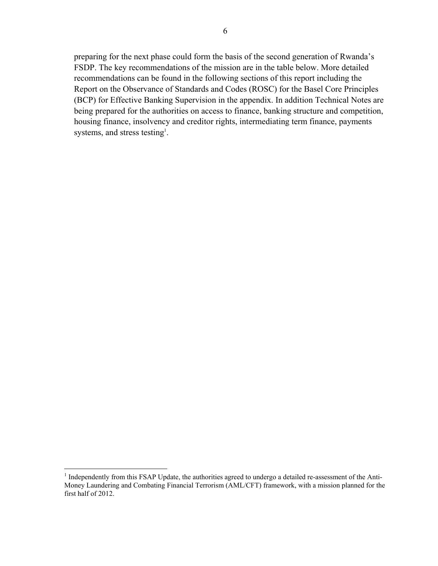preparing for the next phase could form the basis of the second generation of Rwanda's FSDP. The key recommendations of the mission are in the table below. More detailed recommendations can be found in the following sections of this report including the Report on the Observance of Standards and Codes (ROSC) for the Basel Core Principles (BCP) for Effective Banking Supervision in the appendix. In addition Technical Notes are being prepared for the authorities on access to finance, banking structure and competition, housing finance, insolvency and creditor rights, intermediating term finance, payments systems, and stress testing<sup>1</sup>.

Independently from this FSAP Update, the authorities agreed to undergo a detailed re-assessment of the Anti-Money Laundering and Combating Financial Terrorism (AML/CFT) framework, with a mission planned for the first half of 2012.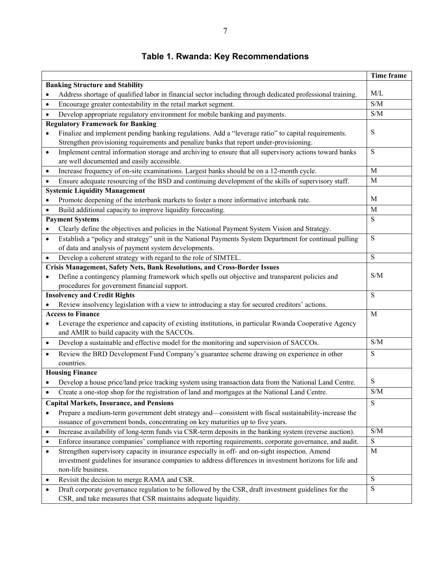#### **Time frame Banking Structure and Stability** Address shortage of qualified labor in financial sector including through dedicated professional training. M/L Encourage greater contestability in the retail market segment. S/M Develop appropriate regulatory environment for mobile banking and payments. S/M **Regulatory Framework for Banking**  Finalize and implement pending banking regulations. Add a "leverage ratio" to capital requirements. Strengthen provisioning requirements and penalize banks that report under-provisioning. S • Implement central information storage and archiving to ensure that all supervisory actions toward banks are well documented and easily accessible. S Increase frequency of on-site examinations. Largest banks should be on a 12-month cycle. M Ensure adequate resourcing of the BSD and continuing development of the skills of supervisory staff. M **Systemic Liquidity Management**  • Promote deepening of the interbank markets to foster a more informative interbank rate. M Build additional capacity to improve liquidity forecasting. M **Payment Systems**  Clearly define the objectives and policies in the National Payment System Vision and Strategy. S Establish a "policy and strategy" unit in the National Payments System Department for continual pulling of data and analysis of payment system developments. S Develop a coherent strategy with regard to the role of SIMTEL. S **Crisis Management, Safety Nets, Bank Resolutions, and Cross-Border Issues**  Define a contingency planning framework which spells out objective and transparent policies and procedures for government financial support. S/M **Insolvency and Credit Rights**  Review insolvency legislation with a view to introducing a stay for secured creditors' actions. S **Access to Finance**  Leverage the experience and capacity of existing institutions, in particular Rwanda Cooperative Agency and AMIR to build capacity with the SACCOs. M Develop a sustainable and effective model for the monitoring and supervision of SACCOs. S/M Review the BRD Development Fund Company's guarantee scheme drawing on experience in other countries. S **Housing Finance**  Develop a house price/land price tracking system using transaction data from the National Land Centre.  $\parallel$  S Create a one-stop shop for the registration of land and mortgages at the National Land Centre. S/M **Capital Markets, Insurance, and Pensions**  Prepare a medium-term government debt strategy and—consistent with fiscal sustainability-increase the issuance of government bonds, concentrating on key maturities up to five years. S Increase availability of long-term funds via CSR-term deposits in the banking system (reverse auction). S/M Enforce insurance companies' compliance with reporting requirements, corporate governance, and audit. S Strengthen supervisory capacity in insurance especially in off- and on-sight inspection. Amend investment guidelines for insurance companies to address differences in investment horizons for life and non-life business. M • Revisit the decision to merge RAMA and CSR. Draft corporate governance regulation to be followed by the CSR, draft investment guidelines for the CSR, and take measures that CSR maintains adequate liquidity. S

#### **Table 1. Rwanda: Key Recommendations**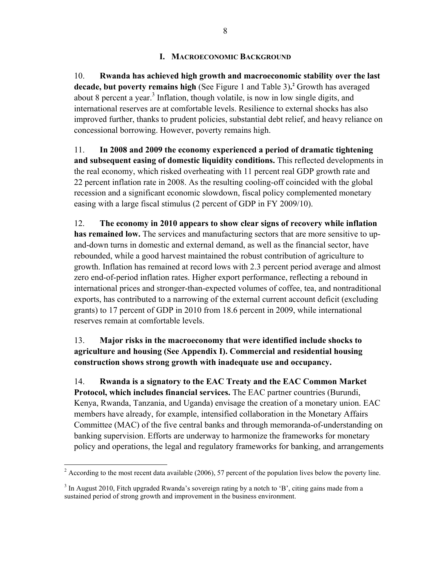#### **I. MACROECONOMIC BACKGROUND**

10. **Rwanda has achieved high growth and macroeconomic stability over the last decade, but poverty remains high** (See Figure 1 and Table 3)**. 2** Growth has averaged about 8 percent a year.<sup>3</sup> Inflation, though volatile, is now in low single digits, and international reserves are at comfortable levels. Resilience to external shocks has also improved further, thanks to prudent policies, substantial debt relief, and heavy reliance on concessional borrowing. However, poverty remains high.

11. **In 2008 and 2009 the economy experienced a period of dramatic tightening and subsequent easing of domestic liquidity conditions.** This reflected developments in the real economy, which risked overheating with 11 percent real GDP growth rate and 22 percent inflation rate in 2008. As the resulting cooling-off coincided with the global recession and a significant economic slowdown, fiscal policy complemented monetary easing with a large fiscal stimulus (2 percent of GDP in FY 2009/10).

12. **The economy in 2010 appears to show clear signs of recovery while inflation has remained low.** The services and manufacturing sectors that are more sensitive to upand-down turns in domestic and external demand, as well as the financial sector, have rebounded, while a good harvest maintained the robust contribution of agriculture to growth. Inflation has remained at record lows with 2.3 percent period average and almost zero end-of-period inflation rates. Higher export performance, reflecting a rebound in international prices and stronger-than-expected volumes of coffee, tea, and nontraditional exports, has contributed to a narrowing of the external current account deficit (excluding grants) to 17 percent of GDP in 2010 from 18.6 percent in 2009, while international reserves remain at comfortable levels.

### 13. **Major risks in the macroeconomy that were identified include shocks to agriculture and housing (See Appendix I). Commercial and residential housing construction shows strong growth with inadequate use and occupancy.**

14. **Rwanda is a signatory to the EAC Treaty and the EAC Common Market Protocol, which includes financial services.** The EAC partner countries (Burundi, Kenya, Rwanda, Tanzania, and Uganda) envisage the creation of a monetary union. EAC members have already, for example, intensified collaboration in the Monetary Affairs Committee (MAC) of the five central banks and through memoranda-of-understanding on banking supervision. Efforts are underway to harmonize the frameworks for monetary policy and operations, the legal and regulatory frameworks for banking, and arrangements

<sup>&</sup>lt;sup>2</sup> According to the most recent data available (2006), 57 percent of the population lives below the poverty line.

 $3$  In August 2010, Fitch upgraded Rwanda's sovereign rating by a notch to 'B', citing gains made from a sustained period of strong growth and improvement in the business environment.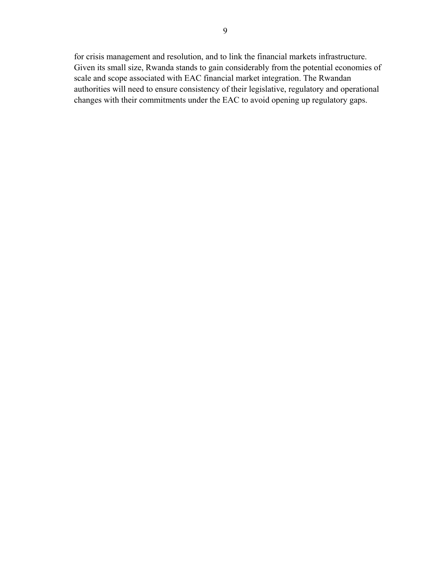for crisis management and resolution, and to link the financial markets infrastructure. Given its small size, Rwanda stands to gain considerably from the potential economies of scale and scope associated with EAC financial market integration. The Rwandan authorities will need to ensure consistency of their legislative, regulatory and operational changes with their commitments under the EAC to avoid opening up regulatory gaps.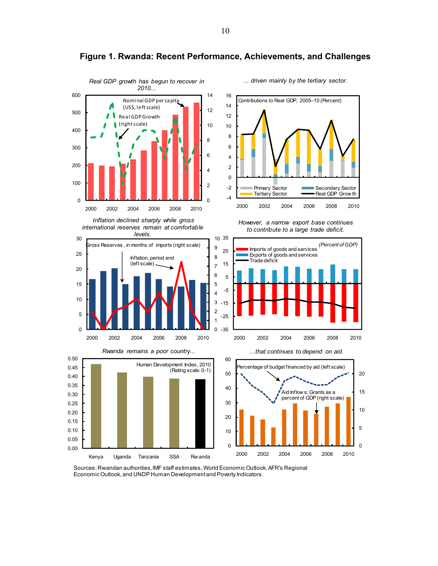

**Figure 1. Rwanda: Recent Performance, Achievements, and Challenges** 

Sources: Rwandan authorities, IMF staff estimates, World Economic Outlook, AFR's Regional Economic Outlook, and UNDP Human Development and Poverty Indicators.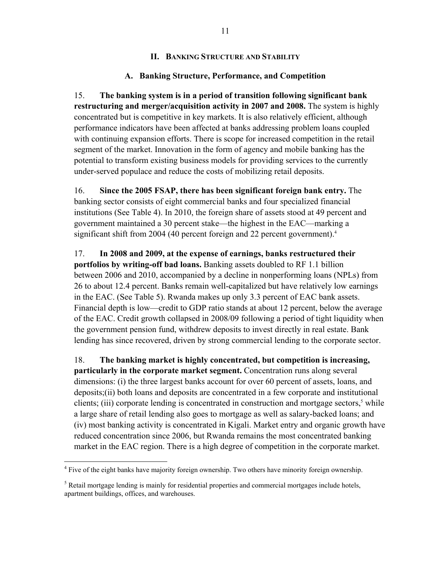#### **II. BANKING STRUCTURE AND STABILITY**

### **A. Banking Structure, Performance, and Competition**

15. **The banking system is in a period of transition following significant bank restructuring and merger/acquisition activity in 2007 and 2008.** The system is highly concentrated but is competitive in key markets. It is also relatively efficient, although performance indicators have been affected at banks addressing problem loans coupled with continuing expansion efforts. There is scope for increased competition in the retail segment of the market. Innovation in the form of agency and mobile banking has the potential to transform existing business models for providing services to the currently under-served populace and reduce the costs of mobilizing retail deposits.

16. **Since the 2005 FSAP, there has been significant foreign bank entry.** The banking sector consists of eight commercial banks and four specialized financial institutions (See Table 4). In 2010, the foreign share of assets stood at 49 percent and government maintained a 30 percent stake—the highest in the EAC—marking a significant shift from 2004 (40 percent foreign and 22 percent government).<sup>4</sup>

17. **In 2008 and 2009, at the expense of earnings, banks restructured their portfolios by writing-off bad loans.** Banking assets doubled to RF 1.1 billion between 2006 and 2010, accompanied by a decline in nonperforming loans (NPLs) from 26 to about 12.4 percent. Banks remain well-capitalized but have relatively low earnings in the EAC. (See Table 5). Rwanda makes up only 3.3 percent of EAC bank assets. Financial depth is low—credit to GDP ratio stands at about 12 percent, below the average of the EAC. Credit growth collapsed in 2008/09 following a period of tight liquidity when the government pension fund, withdrew deposits to invest directly in real estate. Bank lending has since recovered, driven by strong commercial lending to the corporate sector.

18. **The banking market is highly concentrated, but competition is increasing, particularly in the corporate market segment.** Concentration runs along several dimensions: (i) the three largest banks account for over 60 percent of assets, loans, and deposits;(ii) both loans and deposits are concentrated in a few corporate and institutional clients; (iii) corporate lending is concentrated in construction and mortgage sectors,<sup>5</sup> while a large share of retail lending also goes to mortgage as well as salary-backed loans; and (iv) most banking activity is concentrated in Kigali. Market entry and organic growth have reduced concentration since 2006, but Rwanda remains the most concentrated banking market in the EAC region. There is a high degree of competition in the corporate market.

<sup>1</sup> <sup>4</sup> Five of the eight banks have majority foreign ownership. Two others have minority foreign ownership.

 $<sup>5</sup>$  Retail mortgage lending is mainly for residential properties and commercial mortgages include hotels,</sup> apartment buildings, offices, and warehouses.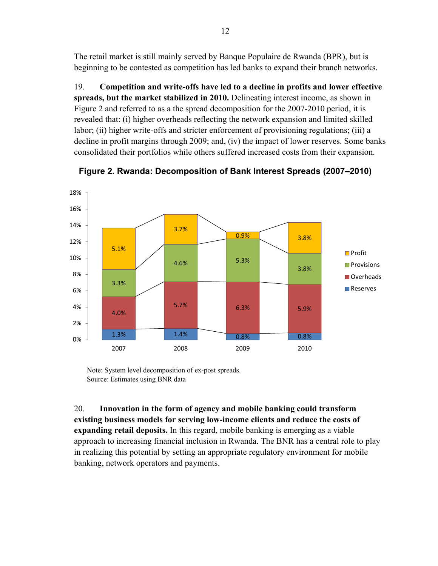The retail market is still mainly served by Banque Populaire de Rwanda (BPR), but is beginning to be contested as competition has led banks to expand their branch networks.

19. **Competition and write-offs have led to a decline in profits and lower effective spreads, but the market stabilized in 2010.** Delineating interest income, as shown in Figure 2 and referred to as a the spread decomposition for the 2007-2010 period, it is revealed that: (i) higher overheads reflecting the network expansion and limited skilled labor; (ii) higher write-offs and stricter enforcement of provisioning regulations; (iii) a decline in profit margins through 2009; and, (iv) the impact of lower reserves. Some banks consolidated their portfolios while others suffered increased costs from their expansion.



**Figure 2. Rwanda: Decomposition of Bank Interest Spreads (2007–2010)** 

Note: System level decomposition of ex-post spreads. Source: Estimates using BNR data

20. **Innovation in the form of agency and mobile banking could transform existing business models for serving low-income clients and reduce the costs of expanding retail deposits.** In this regard, mobile banking is emerging as a viable approach to increasing financial inclusion in Rwanda. The BNR has a central role to play in realizing this potential by setting an appropriate regulatory environment for mobile banking, network operators and payments.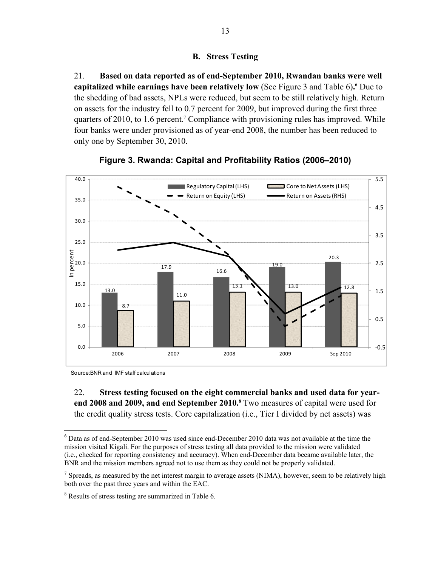#### **B. Stress Testing**

21. **Based on data reported as of end-September 2010, Rwandan banks were well capitalized while earnings have been relatively low (See Figure 3 and Table 6). <sup>6</sup> Due to** the shedding of bad assets, NPLs were reduced, but seem to be still relatively high. Return on assets for the industry fell to 0.7 percent for 2009, but improved during the first three quarters of 2010, to 1.6 percent.<sup>7</sup> Compliance with provisioning rules has improved. While four banks were under provisioned as of year-end 2008, the number has been reduced to only one by September 30, 2010.





Source:BNR and IMF staff calculations

22. **Stress testing focused on the eight commercial banks and used data for year**end 2008 and 2009, and end September 2010.<sup>8</sup> Two measures of capital were used for the credit quality stress tests. Core capitalization (i.e., Tier I divided by net assets) was

 $\overline{a}$  $6$  Data as of end-September 2010 was used since end-December 2010 data was not available at the time the mission visited Kigali. For the purposes of stress testing all data provided to the mission were validated (i.e., checked for reporting consistency and accuracy). When end-December data became available later, the BNR and the mission members agreed not to use them as they could not be properly validated.

<sup>&</sup>lt;sup>7</sup> Spreads, as measured by the net interest margin to average assets (NIMA), however, seem to be relatively high both over the past three years and within the EAC.

<sup>&</sup>lt;sup>8</sup> Results of stress testing are summarized in Table 6.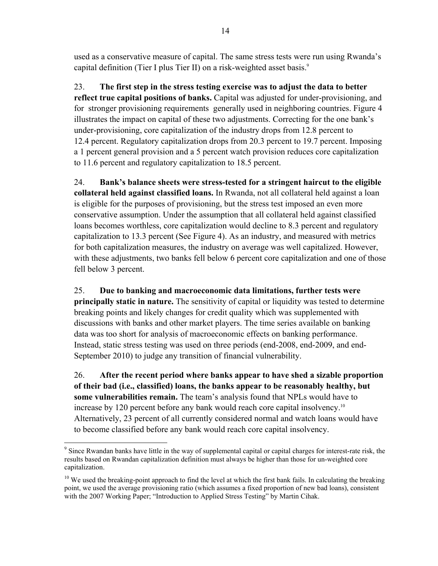used as a conservative measure of capital. The same stress tests were run using Rwanda's capital definition (Tier I plus Tier II) on a risk-weighted asset basis. $9$ 

23. **The first step in the stress testing exercise was to adjust the data to better reflect true capital positions of banks.** Capital was adjusted for under-provisioning, and for stronger provisioning requirements generally used in neighboring countries. Figure 4 illustrates the impact on capital of these two adjustments. Correcting for the one bank's under-provisioning, core capitalization of the industry drops from 12.8 percent to 12.4 percent. Regulatory capitalization drops from 20.3 percent to 19.7 percent. Imposing a 1 percent general provision and a 5 percent watch provision reduces core capitalization to 11.6 percent and regulatory capitalization to 18.5 percent.

24. **Bank's balance sheets were stress-tested for a stringent haircut to the eligible collateral held against classified loans.** In Rwanda, not all collateral held against a loan is eligible for the purposes of provisioning, but the stress test imposed an even more conservative assumption. Under the assumption that all collateral held against classified loans becomes worthless, core capitalization would decline to 8.3 percent and regulatory capitalization to 13.3 percent (See Figure 4). As an industry, and measured with metrics for both capitalization measures, the industry on average was well capitalized. However, with these adjustments, two banks fell below 6 percent core capitalization and one of those fell below 3 percent.

25. **Due to banking and macroeconomic data limitations, further tests were principally static in nature.** The sensitivity of capital or liquidity was tested to determine breaking points and likely changes for credit quality which was supplemented with discussions with banks and other market players. The time series available on banking data was too short for analysis of macroeconomic effects on banking performance. Instead, static stress testing was used on three periods (end-2008, end-2009, and end-September 2010) to judge any transition of financial vulnerability.

26. **After the recent period where banks appear to have shed a sizable proportion of their bad (i.e., classified) loans, the banks appear to be reasonably healthy, but some vulnerabilities remain.** The team's analysis found that NPLs would have to increase by 120 percent before any bank would reach core capital insolvency.<sup>10</sup> Alternatively, 23 percent of all currently considered normal and watch loans would have to become classified before any bank would reach core capital insolvency.

 $\overline{a}$ <sup>9</sup> Since Rwandan banks have little in the way of supplemental capital or capital charges for interest-rate risk, the results based on Rwandan capitalization definition must always be higher than those for un-weighted core capitalization.

 $10$  We used the breaking-point approach to find the level at which the first bank fails. In calculating the breaking point, we used the average provisioning ratio (which assumes a fixed proportion of new bad loans), consistent with the 2007 Working Paper; "Introduction to Applied Stress Testing" by Martin Cihak.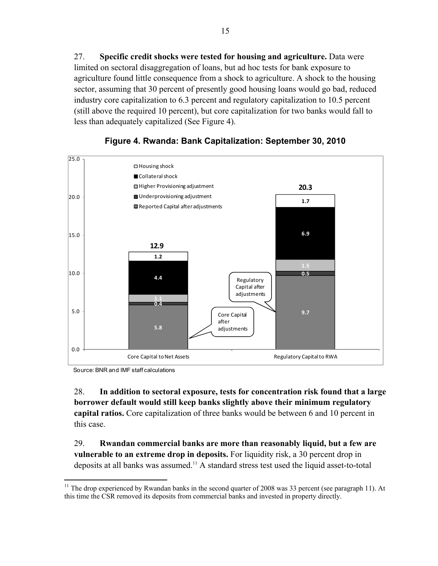27. **Specific credit shocks were tested for housing and agriculture.** Data were limited on sectoral disaggregation of loans, but ad hoc tests for bank exposure to agriculture found little consequence from a shock to agriculture. A shock to the housing sector, assuming that 30 percent of presently good housing loans would go bad, reduced industry core capitalization to 6.3 percent and regulatory capitalization to 10.5 percent (still above the required 10 percent), but core capitalization for two banks would fall to less than adequately capitalized (See Figure 4).





Source: BNR and IMF staff calculations

28. **In addition to sectoral exposure, tests for concentration risk found that a large borrower default would still keep banks slightly above their minimum regulatory capital ratios.** Core capitalization of three banks would be between 6 and 10 percent in this case.

29. **Rwandan commercial banks are more than reasonably liquid, but a few are vulnerable to an extreme drop in deposits.** For liquidity risk, a 30 percent drop in deposits at all banks was assumed.11 A standard stress test used the liquid asset-to-total

 $11$ 11 The drop experienced by Rwandan banks in the second quarter of 2008 was 33 percent (see paragraph 11). At this time the CSR removed its deposits from commercial banks and invested in property directly.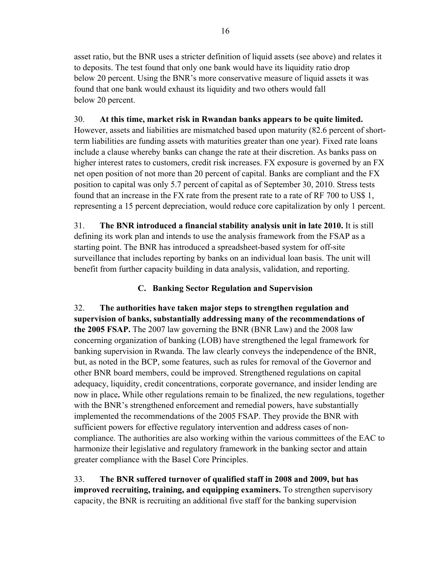asset ratio, but the BNR uses a stricter definition of liquid assets (see above) and relates it to deposits. The test found that only one bank would have its liquidity ratio drop below 20 percent. Using the BNR's more conservative measure of liquid assets it was found that one bank would exhaust its liquidity and two others would fall below 20 percent.

### 30. **At this time, market risk in Rwandan banks appears to be quite limited.**

However, assets and liabilities are mismatched based upon maturity (82.6 percent of shortterm liabilities are funding assets with maturities greater than one year). Fixed rate loans include a clause whereby banks can change the rate at their discretion. As banks pass on higher interest rates to customers, credit risk increases. FX exposure is governed by an FX net open position of not more than 20 percent of capital. Banks are compliant and the FX position to capital was only 5.7 percent of capital as of September 30, 2010. Stress tests found that an increase in the FX rate from the present rate to a rate of RF 700 to US\$ 1, representing a 15 percent depreciation, would reduce core capitalization by only 1 percent.

31. **The BNR introduced a financial stability analysis unit in late 2010.** It is still defining its work plan and intends to use the analysis framework from the FSAP as a starting point. The BNR has introduced a spreadsheet-based system for off-site surveillance that includes reporting by banks on an individual loan basis. The unit will benefit from further capacity building in data analysis, validation, and reporting.

# **C. Banking Sector Regulation and Supervision**

32. **The authorities have taken major steps to strengthen regulation and supervision of banks, substantially addressing many of the recommendations of the 2005 FSAP.** The 2007 law governing the BNR (BNR Law) and the 2008 law concerning organization of banking (LOB) have strengthened the legal framework for banking supervision in Rwanda. The law clearly conveys the independence of the BNR, but, as noted in the BCP, some features, such as rules for removal of the Governor and other BNR board members, could be improved. Strengthened regulations on capital adequacy, liquidity, credit concentrations, corporate governance, and insider lending are now in place**.** While other regulations remain to be finalized, the new regulations, together with the BNR's strengthened enforcement and remedial powers, have substantially implemented the recommendations of the 2005 FSAP. They provide the BNR with sufficient powers for effective regulatory intervention and address cases of noncompliance. The authorities are also working within the various committees of the EAC to harmonize their legislative and regulatory framework in the banking sector and attain greater compliance with the Basel Core Principles.

33. **The BNR suffered turnover of qualified staff in 2008 and 2009, but has improved recruiting, training, and equipping examiners.** To strengthen supervisory capacity, the BNR is recruiting an additional five staff for the banking supervision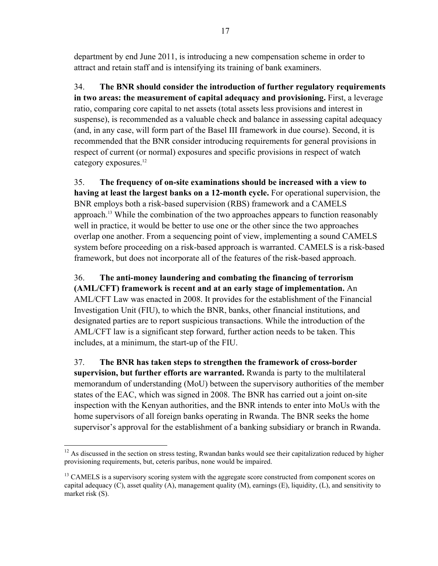department by end June 2011, is introducing a new compensation scheme in order to attract and retain staff and is intensifying its training of bank examiners.

34. **The BNR should consider the introduction of further regulatory requirements in two areas: the measurement of capital adequacy and provisioning.** First, a leverage ratio, comparing core capital to net assets (total assets less provisions and interest in suspense), is recommended as a valuable check and balance in assessing capital adequacy (and, in any case, will form part of the Basel III framework in due course). Second, it is recommended that the BNR consider introducing requirements for general provisions in respect of current (or normal) exposures and specific provisions in respect of watch category exposures.<sup>12</sup>

35. **The frequency of on-site examinations should be increased with a view to having at least the largest banks on a 12-month cycle.** For operational supervision, the BNR employs both a risk-based supervision (RBS) framework and a CAMELS approach.13 While the combination of the two approaches appears to function reasonably well in practice, it would be better to use one or the other since the two approaches overlap one another. From a sequencing point of view, implementing a sound CAMELS system before proceeding on a risk-based approach is warranted. CAMELS is a risk-based framework, but does not incorporate all of the features of the risk-based approach.

36. **The anti-money laundering and combating the financing of terrorism (AML/CFT) framework is recent and at an early stage of implementation.** An AML/CFT Law was enacted in 2008. It provides for the establishment of the Financial Investigation Unit (FIU), to which the BNR, banks, other financial institutions, and designated parties are to report suspicious transactions. While the introduction of the AML/CFT law is a significant step forward, further action needs to be taken. This includes, at a minimum, the start-up of the FIU.

37. **The BNR has taken steps to strengthen the framework of cross-border supervision, but further efforts are warranted.** Rwanda is party to the multilateral memorandum of understanding (MoU) between the supervisory authorities of the member states of the EAC, which was signed in 2008. The BNR has carried out a joint on-site inspection with the Kenyan authorities, and the BNR intends to enter into MoUs with the home supervisors of all foreign banks operating in Rwanda. The BNR seeks the home supervisor's approval for the establishment of a banking subsidiary or branch in Rwanda.

<sup>1</sup>  $12$  As discussed in the section on stress testing, Rwandan banks would see their capitalization reduced by higher provisioning requirements, but, ceteris paribus, none would be impaired.

<sup>&</sup>lt;sup>13</sup> CAMELS is a supervisory scoring system with the aggregate score constructed from component scores on capital adequacy  $(C)$ , asset quality  $(A)$ , management quality  $(M)$ , earnings  $(E)$ , liquidity,  $(L)$ , and sensitivity to market risk (S).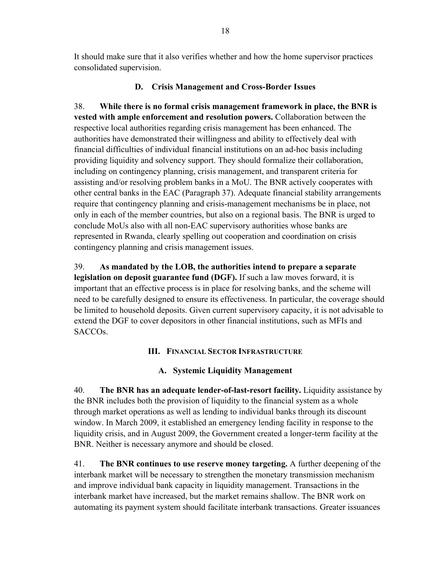It should make sure that it also verifies whether and how the home supervisor practices consolidated supervision.

### **D. Crisis Management and Cross-Border Issues**

38. **While there is no formal crisis management framework in place, the BNR is vested with ample enforcement and resolution powers.** Collaboration between the respective local authorities regarding crisis management has been enhanced. The authorities have demonstrated their willingness and ability to effectively deal with financial difficulties of individual financial institutions on an ad-hoc basis including providing liquidity and solvency support. They should formalize their collaboration, including on contingency planning, crisis management, and transparent criteria for assisting and/or resolving problem banks in a MoU. The BNR actively cooperates with other central banks in the EAC (Paragraph 37). Adequate financial stability arrangements require that contingency planning and crisis-management mechanisms be in place, not only in each of the member countries, but also on a regional basis. The BNR is urged to conclude MoUs also with all non-EAC supervisory authorities whose banks are represented in Rwanda, clearly spelling out cooperation and coordination on crisis contingency planning and crisis management issues.

39. **As mandated by the LOB, the authorities intend to prepare a separate legislation on deposit guarantee fund (DGF).** If such a law moves forward, it is important that an effective process is in place for resolving banks, and the scheme will need to be carefully designed to ensure its effectiveness. In particular, the coverage should be limited to household deposits. Given current supervisory capacity, it is not advisable to extend the DGF to cover depositors in other financial institutions, such as MFIs and SACCOs.

### **III. FINANCIAL SECTOR INFRASTRUCTURE**

### **A. Systemic Liquidity Management**

40. **The BNR has an adequate lender-of-last-resort facility.** Liquidity assistance by the BNR includes both the provision of liquidity to the financial system as a whole through market operations as well as lending to individual banks through its discount window. In March 2009, it established an emergency lending facility in response to the liquidity crisis, and in August 2009, the Government created a longer-term facility at the BNR. Neither is necessary anymore and should be closed.

41. **The BNR continues to use reserve money targeting.** A further deepening of the interbank market will be necessary to strengthen the monetary transmission mechanism and improve individual bank capacity in liquidity management. Transactions in the interbank market have increased, but the market remains shallow. The BNR work on automating its payment system should facilitate interbank transactions. Greater issuances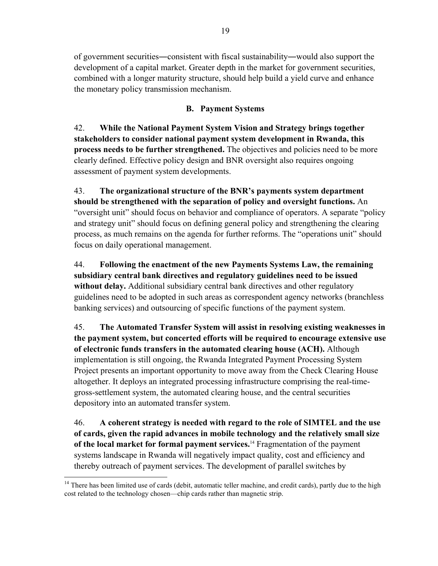of government securities―consistent with fiscal sustainability―would also support the development of a capital market. Greater depth in the market for government securities, combined with a longer maturity structure, should help build a yield curve and enhance the monetary policy transmission mechanism.

### **B. Payment Systems**

42. **While the National Payment System Vision and Strategy brings together stakeholders to consider national payment system development in Rwanda, this process needs to be further strengthened.** The objectives and policies need to be more clearly defined. Effective policy design and BNR oversight also requires ongoing assessment of payment system developments.

43. **The organizational structure of the BNR's payments system department should be strengthened with the separation of policy and oversight functions.** An "oversight unit" should focus on behavior and compliance of operators. A separate "policy and strategy unit" should focus on defining general policy and strengthening the clearing process, as much remains on the agenda for further reforms. The "operations unit" should focus on daily operational management.

44. **Following the enactment of the new Payments Systems Law, the remaining subsidiary central bank directives and regulatory guidelines need to be issued without delay.** Additional subsidiary central bank directives and other regulatory guidelines need to be adopted in such areas as correspondent agency networks (branchless banking services) and outsourcing of specific functions of the payment system.

45. **The Automated Transfer System will assist in resolving existing weaknesses in the payment system, but concerted efforts will be required to encourage extensive use of electronic funds transfers in the automated clearing house (ACH).** Although implementation is still ongoing, the Rwanda Integrated Payment Processing System Project presents an important opportunity to move away from the Check Clearing House altogether. It deploys an integrated processing infrastructure comprising the real-timegross-settlement system, the automated clearing house, and the central securities depository into an automated transfer system.

46. **A coherent strategy is needed with regard to the role of SIMTEL and the use of cards, given the rapid advances in mobile technology and the relatively small size of the local market for formal payment services.**14 Fragmentation of the payment systems landscape in Rwanda will negatively impact quality, cost and efficiency and thereby outreach of payment services. The development of parallel switches by

 $\overline{a}$ 

<sup>&</sup>lt;sup>14</sup> There has been limited use of cards (debit, automatic teller machine, and credit cards), partly due to the high cost related to the technology chosen—chip cards rather than magnetic strip.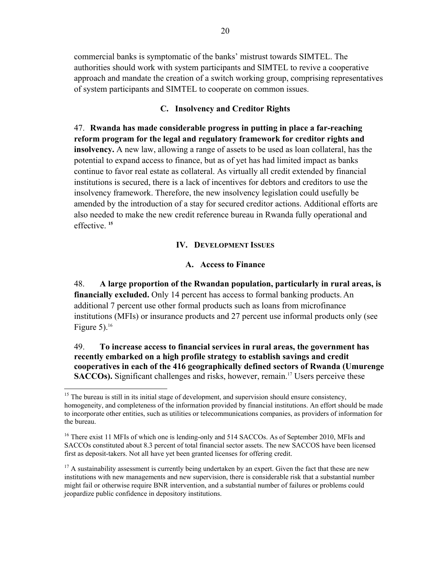commercial banks is symptomatic of the banks' mistrust towards SIMTEL. The authorities should work with system participants and SIMTEL to revive a cooperative approach and mandate the creation of a switch working group, comprising representatives of system participants and SIMTEL to cooperate on common issues.

#### **C. Insolvency and Creditor Rights**

47. **Rwanda has made considerable progress in putting in place a far-reaching reform program for the legal and regulatory framework for creditor rights and insolvency.** A new law, allowing a range of assets to be used as loan collateral, has the potential to expand access to finance, but as of yet has had limited impact as banks continue to favor real estate as collateral. As virtually all credit extended by financial institutions is secured, there is a lack of incentives for debtors and creditors to use the insolvency framework. Therefore, the new insolvency legislation could usefully be amended by the introduction of a stay for secured creditor actions. Additional efforts are also needed to make the new credit reference bureau in Rwanda fully operational and effective. **<sup>15</sup>**

#### **IV. DEVELOPMENT ISSUES**

#### **A. Access to Finance**

48. **A large proportion of the Rwandan population, particularly in rural areas, is financially excluded.** Only 14 percent has access to formal banking products. An additional 7 percent use other formal products such as loans from microfinance institutions (MFIs) or insurance products and 27 percent use informal products only (see Figure 5). $16$ 

49. **To increase access to financial services in rural areas, the government has recently embarked on a high profile strategy to establish savings and credit cooperatives in each of the 416 geographically defined sectors of Rwanda (Umurenge SACCOs).** Significant challenges and risks, however, remain.<sup>17</sup> Users perceive these

1

<sup>&</sup>lt;sup>15</sup> The bureau is still in its initial stage of development, and supervision should ensure consistency, homogeneity, and completeness of the information provided by financial institutions. An effort should be made to incorporate other entities, such as utilities or telecommunications companies, as providers of information for the bureau.

<sup>&</sup>lt;sup>16</sup> There exist 11 MFIs of which one is lending-only and 514 SACCOs. As of September 2010, MFIs and SACCOs constituted about 8.3 percent of total financial sector assets. The new SACCOS have been licensed first as deposit-takers. Not all have yet been granted licenses for offering credit.

 $17$  A sustainability assessment is currently being undertaken by an expert. Given the fact that these are new institutions with new managements and new supervision, there is considerable risk that a substantial number might fail or otherwise require BNR intervention, and a substantial number of failures or problems could jeopardize public confidence in depository institutions.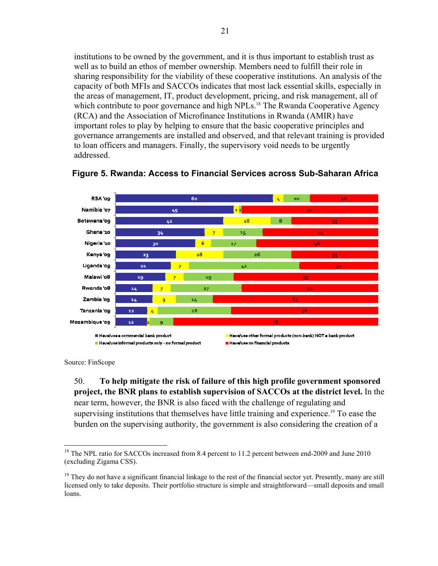institutions to be owned by the government, and it is thus important to establish trust as well as to build an ethos of member ownership. Members need to fulfill their role in sharing responsibility for the viability of these cooperative institutions. An analysis of the capacity of both MFIs and SACCOs indicates that most lack essential skills, especially in the areas of management, IT, product development, pricing, and risk management, all of which contribute to poor governance and high NPLs.<sup>18</sup> The Rwanda Cooperative Agency (RCA) and the Association of Microfinance Institutions in Rwanda (AMIR) have important roles to play by helping to ensure that the basic cooperative principles and governance arrangements are installed and observed, and that relevant training is provided to loan officers and managers. Finally, the supervisory void needs to be urgently addressed.



#### **Figure 5. Rwanda: Access to Financial Services across Sub-Saharan Africa**

Source: FinScope

1

50. **To help mitigate the risk of failure of this high profile government sponsored project, the BNR plans to establish supervision of SACCOs at the district level.** In the near term, however, the BNR is also faced with the challenge of regulating and supervising institutions that themselves have little training and experience.<sup>19</sup> To ease the burden on the supervising authority, the government is also considering the creation of a

<sup>&</sup>lt;sup>18</sup> The NPL ratio for SACCOs increased from 8.4 percent to 11.2 percent between end-2009 and June 2010 (excluding Zigama CSS).

 $19$  They do not have a significant financial linkage to the rest of the financial sector yet. Presently, many are still licensed only to take deposits. Their portfolio structure is simple and straightforward—small deposits and small loans.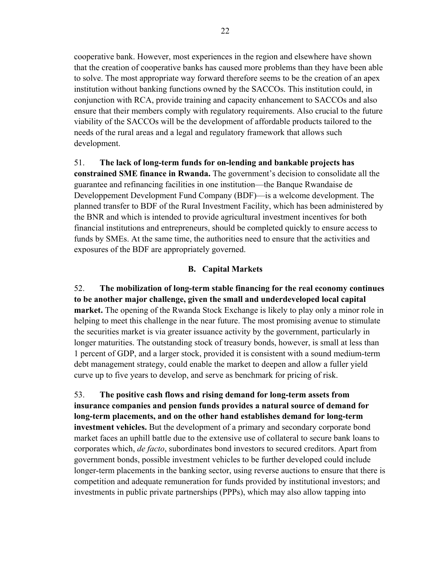cooperative bank. However, most experiences in the region and elsewhere have shown that the creation of cooperative banks has caused more problems than they have been able to solve. The most appropriate way forward therefore seems to be the creation of an apex institution without banking functions owned by the SACCOs. This institution could, in conjunction with RCA, provide training and capacity enhancement to SACCOs and also ensure that their members comply with regulatory requirements. Also crucial to the future viability of the SACCOs will be the development of affordable products tailored to the needs of the rural areas and a legal and regulatory framework that allows such development.

#### 51. **The lack of long-term funds for on-lending and bankable projects has**

**constrained SME finance in Rwanda.** The government's decision to consolidate all the guarantee and refinancing facilities in one institution—the Banque Rwandaise de Developpement Development Fund Company (BDF)—is a welcome development. The planned transfer to BDF of the Rural Investment Facility, which has been administered by the BNR and which is intended to provide agricultural investment incentives for both financial institutions and entrepreneurs, should be completed quickly to ensure access to funds by SMEs. At the same time, the authorities need to ensure that the activities and exposures of the BDF are appropriately governed.

#### **B. Capital Markets**

52. **The mobilization of long-term stable financing for the real economy continues to be another major challenge, given the small and underdeveloped local capital market.** The opening of the Rwanda Stock Exchange is likely to play only a minor role in helping to meet this challenge in the near future. The most promising avenue to stimulate the securities market is via greater issuance activity by the government, particularly in longer maturities. The outstanding stock of treasury bonds, however, is small at less than 1 percent of GDP, and a larger stock, provided it is consistent with a sound medium-term debt management strategy, could enable the market to deepen and allow a fuller yield curve up to five years to develop, and serve as benchmark for pricing of risk.

53. **The positive cash flows and rising demand for long-term assets from insurance companies and pension funds provides a natural source of demand for long-term placements, and on the other hand establishes demand for long-term investment vehicles.** But the development of a primary and secondary corporate bond market faces an uphill battle due to the extensive use of collateral to secure bank loans to corporates which, *de facto*, subordinates bond investors to secured creditors. Apart from government bonds, possible investment vehicles to be further developed could include longer-term placements in the banking sector, using reverse auctions to ensure that there is competition and adequate remuneration for funds provided by institutional investors; and investments in public private partnerships (PPPs), which may also allow tapping into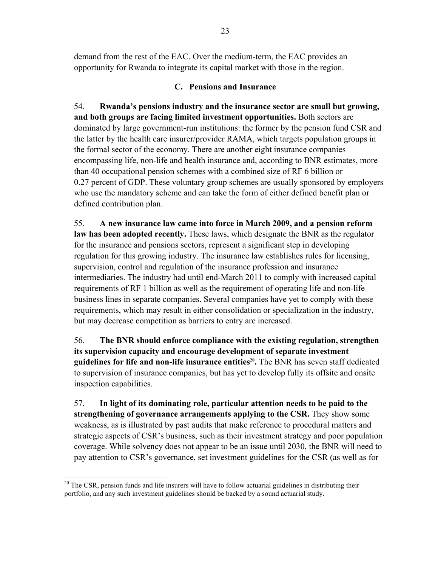demand from the rest of the EAC. Over the medium-term, the EAC provides an opportunity for Rwanda to integrate its capital market with those in the region.

### **C. Pensions and Insurance**

54. **Rwanda's pensions industry and the insurance sector are small but growing, and both groups are facing limited investment opportunities.** Both sectors are dominated by large government-run institutions: the former by the pension fund CSR and the latter by the health care insurer/provider RAMA, which targets population groups in the formal sector of the economy. There are another eight insurance companies encompassing life, non-life and health insurance and, according to BNR estimates, more than 40 occupational pension schemes with a combined size of RF 6 billion or 0.27 percent of GDP. These voluntary group schemes are usually sponsored by employers who use the mandatory scheme and can take the form of either defined benefit plan or defined contribution plan.

55. **A new insurance law came into force in March 2009, and a pension reform law has been adopted recently.** These laws, which designate the BNR as the regulator for the insurance and pensions sectors, represent a significant step in developing regulation for this growing industry. The insurance law establishes rules for licensing, supervision, control and regulation of the insurance profession and insurance intermediaries. The industry had until end-March 2011 to comply with increased capital requirements of RF 1 billion as well as the requirement of operating life and non-life business lines in separate companies. Several companies have yet to comply with these requirements, which may result in either consolidation or specialization in the industry, but may decrease competition as barriers to entry are increased.

56. **The BNR should enforce compliance with the existing regulation, strengthen its supervision capacity and encourage development of separate investment guidelines for life and non-life insurance entities<sup>20</sup>. The BNR has seven staff dedicated** to supervision of insurance companies, but has yet to develop fully its offsite and onsite inspection capabilities.

57. **In light of its dominating role, particular attention needs to be paid to the strengthening of governance arrangements applying to the CSR.** They show some weakness, as is illustrated by past audits that make reference to procedural matters and strategic aspects of CSR's business, such as their investment strategy and poor population coverage. While solvency does not appear to be an issue until 2030, the BNR will need to pay attention to CSR's governance, set investment guidelines for the CSR (as well as for

 $\overline{a}$ 

<sup>&</sup>lt;sup>20</sup> The CSR, pension funds and life insurers will have to follow actuarial guidelines in distributing their portfolio, and any such investment guidelines should be backed by a sound actuarial study.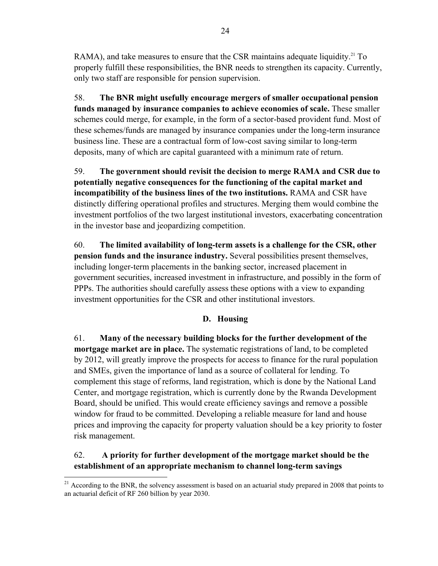RAMA), and take measures to ensure that the CSR maintains adequate liquidity.<sup>21</sup> To properly fulfill these responsibilities, the BNR needs to strengthen its capacity. Currently, only two staff are responsible for pension supervision.

58. **The BNR might usefully encourage mergers of smaller occupational pension funds managed by insurance companies to achieve economies of scale.** These smaller schemes could merge, for example, in the form of a sector-based provident fund. Most of these schemes/funds are managed by insurance companies under the long-term insurance business line. These are a contractual form of low-cost saving similar to long-term deposits, many of which are capital guaranteed with a minimum rate of return.

59. **The government should revisit the decision to merge RAMA and CSR due to potentially negative consequences for the functioning of the capital market and incompatibility of the business lines of the two institutions.** RAMA and CSR have distinctly differing operational profiles and structures. Merging them would combine the investment portfolios of the two largest institutional investors, exacerbating concentration in the investor base and jeopardizing competition.

60. **The limited availability of long-term assets is a challenge for the CSR, other pension funds and the insurance industry.** Several possibilities present themselves, including longer-term placements in the banking sector, increased placement in government securities, increased investment in infrastructure, and possibly in the form of PPPs. The authorities should carefully assess these options with a view to expanding investment opportunities for the CSR and other institutional investors.

### **D. Housing**

61. **Many of the necessary building blocks for the further development of the mortgage market are in place.** The systematic registrations of land, to be completed by 2012, will greatly improve the prospects for access to finance for the rural population and SMEs, given the importance of land as a source of collateral for lending. To complement this stage of reforms, land registration, which is done by the National Land Center, and mortgage registration, which is currently done by the Rwanda Development Board, should be unified. This would create efficiency savings and remove a possible window for fraud to be committed. Developing a reliable measure for land and house prices and improving the capacity for property valuation should be a key priority to foster risk management.

## 62. **A priority for further development of the mortgage market should be the establishment of an appropriate mechanism to channel long-term savings**

<u>.</u>

 $21$  According to the BNR, the solvency assessment is based on an actuarial study prepared in 2008 that points to an actuarial deficit of RF 260 billion by year 2030.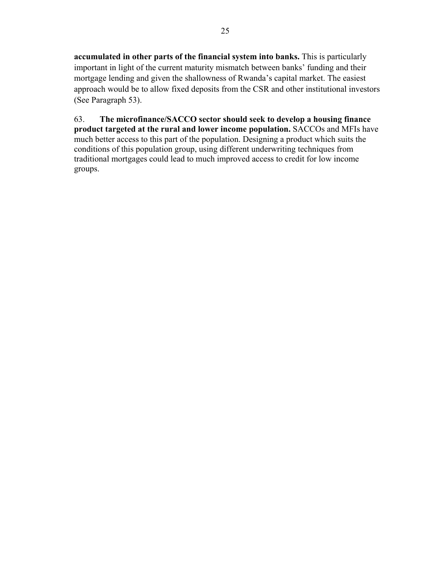**accumulated in other parts of the financial system into banks.** This is particularly important in light of the current maturity mismatch between banks' funding and their mortgage lending and given the shallowness of Rwanda's capital market. The easiest approach would be to allow fixed deposits from the CSR and other institutional investors (See Paragraph 53).

63. **The microfinance/SACCO sector should seek to develop a housing finance product targeted at the rural and lower income population.** SACCOs and MFIs have much better access to this part of the population. Designing a product which suits the conditions of this population group, using different underwriting techniques from traditional mortgages could lead to much improved access to credit for low income groups.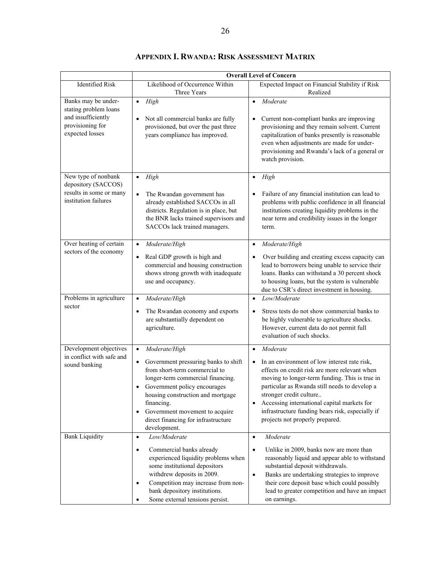|                                                                                                           | <b>Overall Level of Concern</b>                                                                                                                                                                                                                                                                                                                             |                                                                                                                                                                                                                                                                                                                                                                                                                      |  |  |  |  |  |  |
|-----------------------------------------------------------------------------------------------------------|-------------------------------------------------------------------------------------------------------------------------------------------------------------------------------------------------------------------------------------------------------------------------------------------------------------------------------------------------------------|----------------------------------------------------------------------------------------------------------------------------------------------------------------------------------------------------------------------------------------------------------------------------------------------------------------------------------------------------------------------------------------------------------------------|--|--|--|--|--|--|
| <b>Identified Risk</b>                                                                                    | Likelihood of Occurrence Within<br>Three Years                                                                                                                                                                                                                                                                                                              | Expected Impact on Financial Stability if Risk<br>Realized                                                                                                                                                                                                                                                                                                                                                           |  |  |  |  |  |  |
| Banks may be under-<br>stating problem loans<br>and insufficiently<br>provisioning for<br>expected losses | High<br>$\bullet$<br>Not all commercial banks are fully<br>$\bullet$<br>provisioned, but over the past three<br>years compliance has improved.                                                                                                                                                                                                              | Moderate<br>$\bullet$<br>Current non-compliant banks are improving<br>provisioning and they remain solvent. Current<br>capitalization of banks presently is reasonable<br>even when adjustments are made for under-<br>provisioning and Rwanda's lack of a general or<br>watch provision.                                                                                                                            |  |  |  |  |  |  |
| New type of nonbank<br>depository (SACCOS)<br>results in some or many<br>institution failures             | High<br>$\bullet$<br>$\bullet$<br>The Rwandan government has<br>already established SACCOs in all<br>districts. Regulation is in place, but<br>the BNR lacks trained supervisors and<br>SACCOs lack trained managers.                                                                                                                                       | High<br>$\bullet$<br>Failure of any financial institution can lead to<br>problems with public confidence in all financial<br>institutions creating liquidity problems in the<br>near term and credibility issues in the longer<br>term.                                                                                                                                                                              |  |  |  |  |  |  |
| Over heating of certain<br>sectors of the economy                                                         | Moderate/High<br>$\bullet$<br>Real GDP growth is high and<br>$\bullet$<br>commercial and housing construction<br>shows strong growth with inadequate<br>use and occupancy.                                                                                                                                                                                  | Moderate/High<br>$\bullet$<br>Over building and creating excess capacity can<br>lead to borrowers being unable to service their<br>loans. Banks can withstand a 30 percent shock<br>to housing loans, but the system is vulnerable<br>due to CSR's direct investment in housing.                                                                                                                                     |  |  |  |  |  |  |
| Problems in agriculture<br>sector                                                                         | Moderate/High<br>$\bullet$<br>The Rwandan economy and exports<br>$\bullet$<br>are substantially dependent on<br>agriculture.                                                                                                                                                                                                                                | Low/Moderate<br>$\bullet$<br>Stress tests do not show commercial banks to<br>$\bullet$<br>be highly vulnerable to agriculture shocks.<br>However, current data do not permit full<br>evaluation of such shocks.                                                                                                                                                                                                      |  |  |  |  |  |  |
| Development objectives<br>in conflict with safe and<br>sound banking                                      | Moderate/High<br>$\bullet$<br>Government pressuring banks to shift<br>$\bullet$<br>from short-term commercial to<br>longer-term commercial financing.<br>Government policy encourages<br>$\bullet$<br>housing construction and mortgage<br>financing.<br>Government movement to acquire<br>$\bullet$<br>direct financing for infrastructure<br>development. | Moderate<br>$\bullet$<br>In an environment of low interest rate risk,<br>$\bullet$<br>effects on credit risk are more relevant when<br>moving to longer-term funding. This is true in<br>particular as Rwanda still needs to develop a<br>stronger credit culture<br>Accessing international capital markets for<br>$\bullet$<br>infrastructure funding bears risk, especially if<br>projects not properly prepared. |  |  |  |  |  |  |
| <b>Bank Liquidity</b>                                                                                     | Low/Moderate<br>$\bullet$<br>Commercial banks already<br>$\bullet$<br>experienced liquidity problems when<br>some institutional depositors<br>withdrew deposits in 2009.<br>Competition may increase from non-<br>$\bullet$<br>bank depository institutions.<br>Some external tensions persist.<br>$\bullet$                                                | Moderate<br>$\bullet$<br>Unlike in 2009, banks now are more than<br>$\bullet$<br>reasonably liquid and appear able to withstand<br>substantial deposit withdrawals.<br>Banks are undertaking strategies to improve<br>$\bullet$<br>their core deposit base which could possibly<br>lead to greater competition and have an impact<br>on earnings.                                                                    |  |  |  |  |  |  |

### **APPENDIX I. RWANDA: RISK ASSESSMENT MATRIX**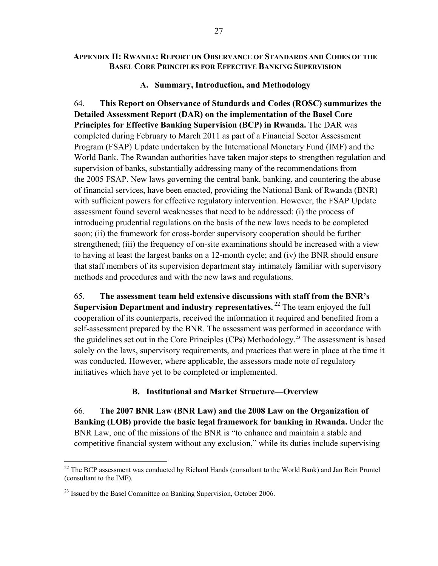#### **APPENDIX II: RWANDA: REPORT ON OBSERVANCE OF STANDARDS AND CODES OF THE BASEL CORE PRINCIPLES FOR EFFECTIVE BANKING SUPERVISION**

#### **A. Summary, Introduction, and Methodology**

64. **This Report on Observance of Standards and Codes (ROSC) summarizes the Detailed Assessment Report (DAR) on the implementation of the Basel Core Principles for Effective Banking Supervision (BCP) in Rwanda.** The DAR was completed during February to March 2011 as part of a Financial Sector Assessment Program (FSAP) Update undertaken by the International Monetary Fund (IMF) and the World Bank. The Rwandan authorities have taken major steps to strengthen regulation and supervision of banks, substantially addressing many of the recommendations from the 2005 FSAP. New laws governing the central bank, banking, and countering the abuse of financial services, have been enacted, providing the National Bank of Rwanda (BNR) with sufficient powers for effective regulatory intervention. However, the FSAP Update assessment found several weaknesses that need to be addressed: (i) the process of introducing prudential regulations on the basis of the new laws needs to be completed soon; (ii) the framework for cross-border supervisory cooperation should be further strengthened; (iii) the frequency of on-site examinations should be increased with a view to having at least the largest banks on a 12-month cycle; and (iv) the BNR should ensure that staff members of its supervision department stay intimately familiar with supervisory methods and procedures and with the new laws and regulations.

65. **The assessment team held extensive discussions with staff from the BNR's Supervision Department and industry representatives.** <sup>22</sup> The team enjoyed the full cooperation of its counterparts, received the information it required and benefited from a self-assessment prepared by the BNR. The assessment was performed in accordance with the guidelines set out in the Core Principles (CPs) Methodology.23 The assessment is based solely on the laws, supervisory requirements, and practices that were in place at the time it was conducted. However, where applicable, the assessors made note of regulatory initiatives which have yet to be completed or implemented.

#### **B. Institutional and Market Structure—Overview**

66. **The 2007 BNR Law (BNR Law) and the 2008 Law on the Organization of Banking (LOB) provide the basic legal framework for banking in Rwanda.** Under the BNR Law, one of the missions of the BNR is "to enhance and maintain a stable and competitive financial system without any exclusion," while its duties include supervising

 $\overline{a}$ 

 $22$  The BCP assessment was conducted by Richard Hands (consultant to the World Bank) and Jan Rein Pruntel (consultant to the IMF).

 $^{23}$  Issued by the Basel Committee on Banking Supervision, October 2006.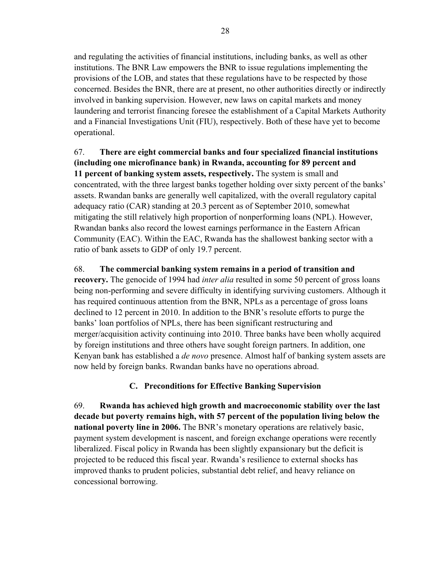and regulating the activities of financial institutions, including banks, as well as other institutions. The BNR Law empowers the BNR to issue regulations implementing the provisions of the LOB, and states that these regulations have to be respected by those concerned. Besides the BNR, there are at present, no other authorities directly or indirectly involved in banking supervision. However, new laws on capital markets and money laundering and terrorist financing foresee the establishment of a Capital Markets Authority and a Financial Investigations Unit (FIU), respectively. Both of these have yet to become operational.

### 67. **There are eight commercial banks and four specialized financial institutions (including one microfinance bank) in Rwanda, accounting for 89 percent and 11 percent of banking system assets, respectively.** The system is small and concentrated, with the three largest banks together holding over sixty percent of the banks' assets. Rwandan banks are generally well capitalized, with the overall regulatory capital adequacy ratio (CAR) standing at 20.3 percent as of September 2010, somewhat mitigating the still relatively high proportion of nonperforming loans (NPL). However, Rwandan banks also record the lowest earnings performance in the Eastern African Community (EAC). Within the EAC, Rwanda has the shallowest banking sector with a ratio of bank assets to GDP of only 19.7 percent.

## 68. **The commercial banking system remains in a period of transition and**

**recovery.** The genocide of 1994 had *inter alia* resulted in some 50 percent of gross loans being non-performing and severe difficulty in identifying surviving customers. Although it has required continuous attention from the BNR, NPLs as a percentage of gross loans declined to 12 percent in 2010. In addition to the BNR's resolute efforts to purge the banks' loan portfolios of NPLs, there has been significant restructuring and merger/acquisition activity continuing into 2010. Three banks have been wholly acquired by foreign institutions and three others have sought foreign partners. In addition, one Kenyan bank has established a *de novo* presence. Almost half of banking system assets are now held by foreign banks. Rwandan banks have no operations abroad.

### **C. Preconditions for Effective Banking Supervision**

69. **Rwanda has achieved high growth and macroeconomic stability over the last decade but poverty remains high, with 57 percent of the population living below the national poverty line in 2006.** The BNR's monetary operations are relatively basic, payment system development is nascent, and foreign exchange operations were recently liberalized. Fiscal policy in Rwanda has been slightly expansionary but the deficit is projected to be reduced this fiscal year. Rwanda's resilience to external shocks has improved thanks to prudent policies, substantial debt relief, and heavy reliance on concessional borrowing.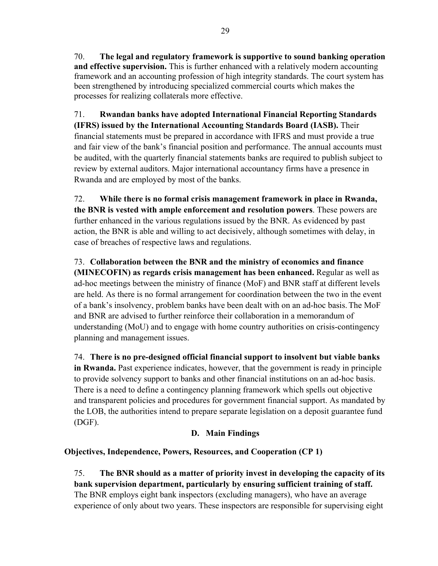70. **The legal and regulatory framework is supportive to sound banking operation and effective supervision.** This is further enhanced with a relatively modern accounting framework and an accounting profession of high integrity standards. The court system has been strengthened by introducing specialized commercial courts which makes the processes for realizing collaterals more effective.

71. **Rwandan banks have adopted International Financial Reporting Standards (IFRS) issued by the International Accounting Standards Board (IASB).** Their financial statements must be prepared in accordance with IFRS and must provide a true and fair view of the bank's financial position and performance. The annual accounts must be audited, with the quarterly financial statements banks are required to publish subject to review by external auditors. Major international accountancy firms have a presence in Rwanda and are employed by most of the banks.

72. **While there is no formal crisis management framework in place in Rwanda, the BNR is vested with ample enforcement and resolution powers**. These powers are further enhanced in the various regulations issued by the BNR. As evidenced by past action, the BNR is able and willing to act decisively, although sometimes with delay, in case of breaches of respective laws and regulations.

73. **Collaboration between the BNR and the ministry of economics and finance (MINECOFIN) as regards crisis management has been enhanced.** Regular as well as ad-hoc meetings between the ministry of finance (MoF) and BNR staff at different levels are held. As there is no formal arrangement for coordination between the two in the event of a bank's insolvency, problem banks have been dealt with on an ad-hoc basis.The MoF and BNR are advised to further reinforce their collaboration in a memorandum of understanding (MoU) and to engage with home country authorities on crisis-contingency planning and management issues.

74. **There is no pre-designed official financial support to insolvent but viable banks in Rwanda.** Past experience indicates, however, that the government is ready in principle to provide solvency support to banks and other financial institutions on an ad-hoc basis. There is a need to define a contingency planning framework which spells out objective and transparent policies and procedures for government financial support. As mandated by the LOB, the authorities intend to prepare separate legislation on a deposit guarantee fund (DGF).

# **D. Main Findings**

# **Objectives, Independence, Powers, Resources, and Cooperation (CP 1)**

75. **The BNR should as a matter of priority invest in developing the capacity of its bank supervision department, particularly by ensuring sufficient training of staff.**  The BNR employs eight bank inspectors (excluding managers), who have an average experience of only about two years. These inspectors are responsible for supervising eight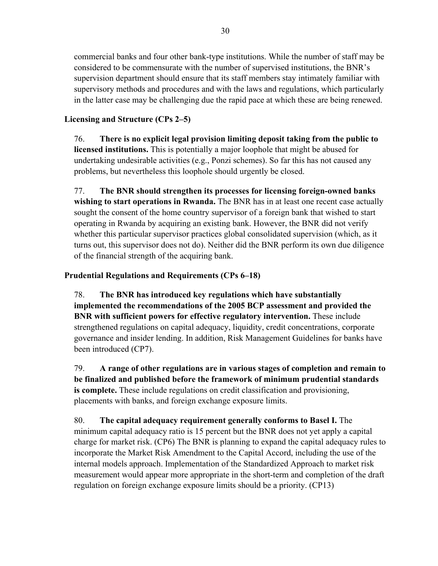commercial banks and four other bank-type institutions. While the number of staff may be considered to be commensurate with the number of supervised institutions, the BNR's supervision department should ensure that its staff members stay intimately familiar with supervisory methods and procedures and with the laws and regulations, which particularly in the latter case may be challenging due the rapid pace at which these are being renewed.

### **Licensing and Structure (CPs 2–5)**

76. **There is no explicit legal provision limiting deposit taking from the public to licensed institutions.** This is potentially a major loophole that might be abused for undertaking undesirable activities (e.g., Ponzi schemes). So far this has not caused any problems, but nevertheless this loophole should urgently be closed.

77. **The BNR should strengthen its processes for licensing foreign-owned banks wishing to start operations in Rwanda.** The BNR has in at least one recent case actually sought the consent of the home country supervisor of a foreign bank that wished to start operating in Rwanda by acquiring an existing bank. However, the BNR did not verify whether this particular supervisor practices global consolidated supervision (which, as it turns out, this supervisor does not do). Neither did the BNR perform its own due diligence of the financial strength of the acquiring bank.

### **Prudential Regulations and Requirements (CPs 6–18)**

78. **The BNR has introduced key regulations which have substantially implemented the recommendations of the 2005 BCP assessment and provided the BNR with sufficient powers for effective regulatory intervention.** These include strengthened regulations on capital adequacy, liquidity, credit concentrations, corporate governance and insider lending. In addition, Risk Management Guidelines for banks have been introduced (CP7).

79. **A range of other regulations are in various stages of completion and remain to be finalized and published before the framework of minimum prudential standards is complete.** These include regulations on credit classification and provisioning, placements with banks, and foreign exchange exposure limits.

80. **The capital adequacy requirement generally conforms to Basel I.** The minimum capital adequacy ratio is 15 percent but the BNR does not yet apply a capital charge for market risk. (CP6) The BNR is planning to expand the capital adequacy rules to incorporate the Market Risk Amendment to the Capital Accord, including the use of the internal models approach. Implementation of the Standardized Approach to market risk measurement would appear more appropriate in the short-term and completion of the draft regulation on foreign exchange exposure limits should be a priority. (CP13)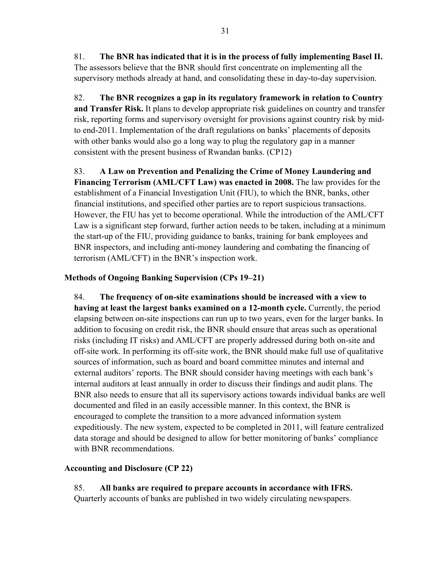81. **The BNR has indicated that it is in the process of fully implementing Basel II.**  The assessors believe that the BNR should first concentrate on implementing all the supervisory methods already at hand, and consolidating these in day-to-day supervision.

82. **The BNR recognizes a gap in its regulatory framework in relation to Country and Transfer Risk.** It plans to develop appropriate risk guidelines on country and transfer risk, reporting forms and supervisory oversight for provisions against country risk by midto end-2011. Implementation of the draft regulations on banks' placements of deposits with other banks would also go a long way to plug the regulatory gap in a manner consistent with the present business of Rwandan banks. (CP12)

83. **A Law on Prevention and Penalizing the Crime of Money Laundering and Financing Terrorism (AML/CFT Law) was enacted in 2008.** The law provides for the establishment of a Financial Investigation Unit (FIU), to which the BNR, banks, other financial institutions, and specified other parties are to report suspicious transactions. However, the FIU has yet to become operational. While the introduction of the AML/CFT Law is a significant step forward, further action needs to be taken, including at a minimum the start-up of the FIU, providing guidance to banks, training for bank employees and BNR inspectors, and including anti-money laundering and combating the financing of terrorism (AML/CFT) in the BNR's inspection work.

### **Methods of Ongoing Banking Supervision (CPs 19–21)**

84. **The frequency of on-site examinations should be increased with a view to having at least the largest banks examined on a 12-month cycle.** Currently, the period elapsing between on-site inspections can run up to two years, even for the larger banks. In addition to focusing on credit risk, the BNR should ensure that areas such as operational risks (including IT risks) and AML/CFT are properly addressed during both on-site and off-site work. In performing its off-site work, the BNR should make full use of qualitative sources of information, such as board and board committee minutes and internal and external auditors' reports. The BNR should consider having meetings with each bank's internal auditors at least annually in order to discuss their findings and audit plans. The BNR also needs to ensure that all its supervisory actions towards individual banks are well documented and filed in an easily accessible manner. In this context, the BNR is encouraged to complete the transition to a more advanced information system expeditiously. The new system, expected to be completed in 2011, will feature centralized data storage and should be designed to allow for better monitoring of banks' compliance with BNR recommendations.

### **Accounting and Disclosure (CP 22)**

85. **All banks are required to prepare accounts in accordance with IFRS.** Quarterly accounts of banks are published in two widely circulating newspapers.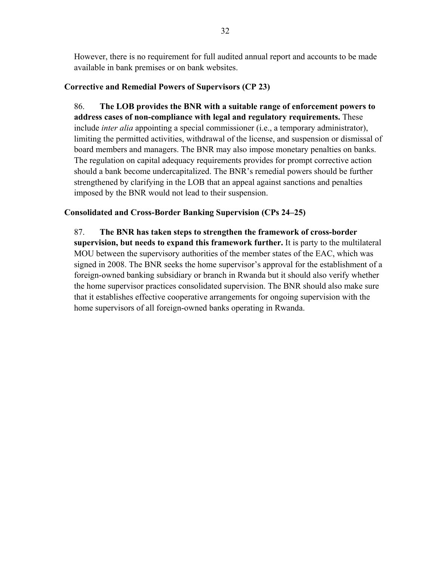However, there is no requirement for full audited annual report and accounts to be made available in bank premises or on bank websites.

### **Corrective and Remedial Powers of Supervisors (CP 23)**

86. **The LOB provides the BNR with a suitable range of enforcement powers to address cases of non-compliance with legal and regulatory requirements.** These include *inter alia* appointing a special commissioner (i.e., a temporary administrator), limiting the permitted activities, withdrawal of the license, and suspension or dismissal of board members and managers. The BNR may also impose monetary penalties on banks. The regulation on capital adequacy requirements provides for prompt corrective action should a bank become undercapitalized. The BNR's remedial powers should be further strengthened by clarifying in the LOB that an appeal against sanctions and penalties imposed by the BNR would not lead to their suspension.

### **Consolidated and Cross-Border Banking Supervision (CPs 24–25)**

87. **The BNR has taken steps to strengthen the framework of cross-border supervision, but needs to expand this framework further.** It is party to the multilateral MOU between the supervisory authorities of the member states of the EAC, which was signed in 2008. The BNR seeks the home supervisor's approval for the establishment of a foreign-owned banking subsidiary or branch in Rwanda but it should also verify whether the home supervisor practices consolidated supervision. The BNR should also make sure that it establishes effective cooperative arrangements for ongoing supervision with the home supervisors of all foreign-owned banks operating in Rwanda.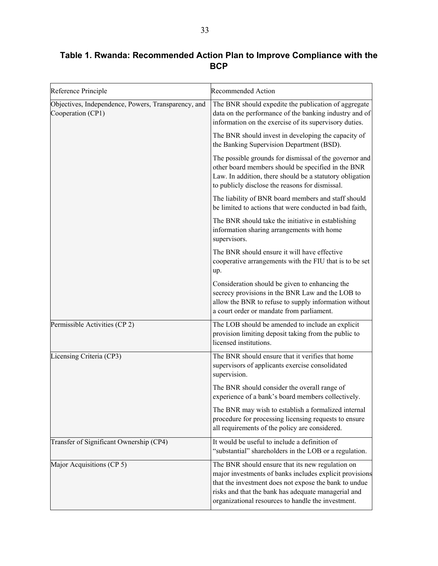# **Table 1. Rwanda: Recommended Action Plan to Improve Compliance with the BCP**

| Reference Principle                                                      | <b>Recommended Action</b>                                                                                                                                                                                                                                                         |
|--------------------------------------------------------------------------|-----------------------------------------------------------------------------------------------------------------------------------------------------------------------------------------------------------------------------------------------------------------------------------|
| Objectives, Independence, Powers, Transparency, and<br>Cooperation (CP1) | The BNR should expedite the publication of aggregate<br>data on the performance of the banking industry and of<br>information on the exercise of its supervisory duties.                                                                                                          |
|                                                                          | The BNR should invest in developing the capacity of<br>the Banking Supervision Department (BSD).                                                                                                                                                                                  |
|                                                                          | The possible grounds for dismissal of the governor and<br>other board members should be specified in the BNR<br>Law. In addition, there should be a statutory obligation<br>to publicly disclose the reasons for dismissal.                                                       |
|                                                                          | The liability of BNR board members and staff should<br>be limited to actions that were conducted in bad faith,                                                                                                                                                                    |
|                                                                          | The BNR should take the initiative in establishing<br>information sharing arrangements with home<br>supervisors.                                                                                                                                                                  |
|                                                                          | The BNR should ensure it will have effective<br>cooperative arrangements with the FIU that is to be set<br>up.                                                                                                                                                                    |
|                                                                          | Consideration should be given to enhancing the<br>secrecy provisions in the BNR Law and the LOB to<br>allow the BNR to refuse to supply information without<br>a court order or mandate from parliament.                                                                          |
| Permissible Activities (CP 2)                                            | The LOB should be amended to include an explicit<br>provision limiting deposit taking from the public to<br>licensed institutions.                                                                                                                                                |
| Licensing Criteria (CP3)                                                 | The BNR should ensure that it verifies that home<br>supervisors of applicants exercise consolidated<br>supervision.                                                                                                                                                               |
|                                                                          | The BNR should consider the overall range of<br>experience of a bank's board members collectively.                                                                                                                                                                                |
|                                                                          | The BNR may wish to establish a formalized internal<br>procedure for processing licensing requests to ensure<br>all requirements of the policy are considered.                                                                                                                    |
| Transfer of Significant Ownership (CP4)                                  | It would be useful to include a definition of<br>"substantial" shareholders in the LOB or a regulation.                                                                                                                                                                           |
| Major Acquisitions (CP 5)                                                | The BNR should ensure that its new regulation on<br>major investments of banks includes explicit provisions<br>that the investment does not expose the bank to undue<br>risks and that the bank has adequate managerial and<br>organizational resources to handle the investment. |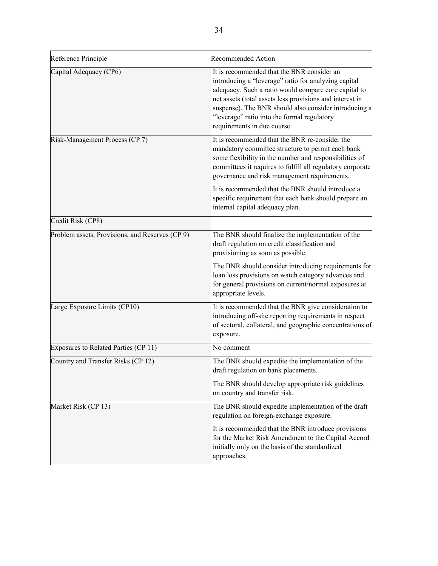| Reference Principle                             | <b>Recommended Action</b>                                                                                                                                                                                                                                                                                                                                                                 |
|-------------------------------------------------|-------------------------------------------------------------------------------------------------------------------------------------------------------------------------------------------------------------------------------------------------------------------------------------------------------------------------------------------------------------------------------------------|
| Capital Adequacy (CP6)                          | It is recommended that the BNR consider an<br>introducing a "leverage" ratio for analyzing capital<br>adequacy. Such a ratio would compare core capital to<br>net assets (total assets less provisions and interest in<br>suspense). The BNR should also consider introducing a<br>"leverage" ratio into the formal regulatory<br>requirements in due course.                             |
| Risk-Management Process (CP 7)                  | It is recommended that the BNR re-consider the<br>mandatory committee structure to permit each bank<br>some flexibility in the number and responsibilities of<br>committees it requires to fulfill all regulatory corporate<br>governance and risk management requirements.<br>It is recommended that the BNR should introduce a<br>specific requirement that each bank should prepare an |
|                                                 | internal capital adequacy plan.                                                                                                                                                                                                                                                                                                                                                           |
| Credit Risk (CP8)                               |                                                                                                                                                                                                                                                                                                                                                                                           |
| Problem assets, Provisions, and Reserves (CP 9) | The BNR should finalize the implementation of the<br>draft regulation on credit classification and<br>provisioning as soon as possible.                                                                                                                                                                                                                                                   |
|                                                 | The BNR should consider introducing requirements for<br>loan loss provisions on watch category advances and<br>for general provisions on current/normal exposures at<br>appropriate levels.                                                                                                                                                                                               |
| Large Exposure Limits (CP10)                    | It is recommended that the BNR give consideration to<br>introducing off-site reporting requirements in respect<br>of sectoral, collateral, and geographic concentrations of<br>exposure.                                                                                                                                                                                                  |
| Exposures to Related Parties (CP 11)            | No comment                                                                                                                                                                                                                                                                                                                                                                                |
| Country and Transfer Risks (CP 12)              | The BNR should expedite the implementation of the<br>draft regulation on bank placements.                                                                                                                                                                                                                                                                                                 |
|                                                 | The BNR should develop appropriate risk guidelines<br>on country and transfer risk.                                                                                                                                                                                                                                                                                                       |
| Market Risk (CP 13)                             | The BNR should expedite implementation of the draft<br>regulation on foreign-exchange exposure.                                                                                                                                                                                                                                                                                           |
|                                                 | It is recommended that the BNR introduce provisions<br>for the Market Risk Amendment to the Capital Accord<br>initially only on the basis of the standardized<br>approaches.                                                                                                                                                                                                              |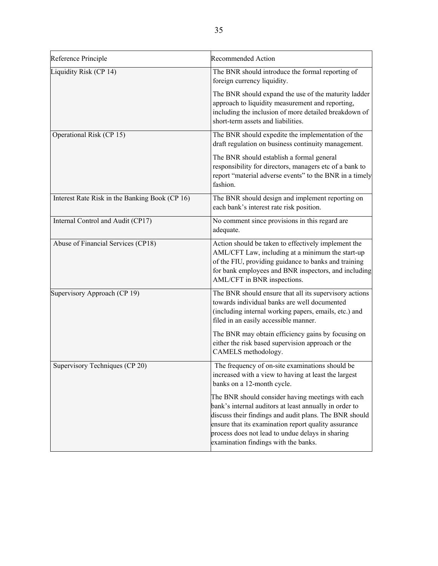| Reference Principle                            | <b>Recommended Action</b>                                                                                                                                                                                                                                                                                                 |
|------------------------------------------------|---------------------------------------------------------------------------------------------------------------------------------------------------------------------------------------------------------------------------------------------------------------------------------------------------------------------------|
| Liquidity Risk (CP 14)                         | The BNR should introduce the formal reporting of<br>foreign currency liquidity.                                                                                                                                                                                                                                           |
|                                                | The BNR should expand the use of the maturity ladder<br>approach to liquidity measurement and reporting,<br>including the inclusion of more detailed breakdown of<br>short-term assets and liabilities.                                                                                                                   |
| Operational Risk (CP 15)                       | The BNR should expedite the implementation of the<br>draft regulation on business continuity management.                                                                                                                                                                                                                  |
|                                                | The BNR should establish a formal general<br>responsibility for directors, managers etc of a bank to<br>report "material adverse events" to the BNR in a timely<br>fashion.                                                                                                                                               |
| Interest Rate Risk in the Banking Book (CP 16) | The BNR should design and implement reporting on<br>each bank's interest rate risk position.                                                                                                                                                                                                                              |
| Internal Control and Audit (CP17)              | No comment since provisions in this regard are<br>adequate.                                                                                                                                                                                                                                                               |
| Abuse of Financial Services (CP18)             | Action should be taken to effectively implement the<br>AML/CFT Law, including at a minimum the start-up<br>of the FIU, providing guidance to banks and training<br>for bank employees and BNR inspectors, and including<br>AML/CFT in BNR inspections.                                                                    |
| Supervisory Approach (CP 19)                   | The BNR should ensure that all its supervisory actions<br>towards individual banks are well documented<br>(including internal working papers, emails, etc.) and<br>filed in an easily accessible manner.                                                                                                                  |
|                                                | The BNR may obtain efficiency gains by focusing on<br>either the risk based supervision approach or the<br>CAMELS methodology.                                                                                                                                                                                            |
| Supervisory Techniques (CP 20)                 | The frequency of on-site examinations should be<br>increased with a view to having at least the largest<br>banks on a 12-month cycle.                                                                                                                                                                                     |
|                                                | The BNR should consider having meetings with each<br>bank's internal auditors at least annually in order to<br>discuss their findings and audit plans. The BNR should<br>ensure that its examination report quality assurance<br>process does not lead to undue delays in sharing<br>examination findings with the banks. |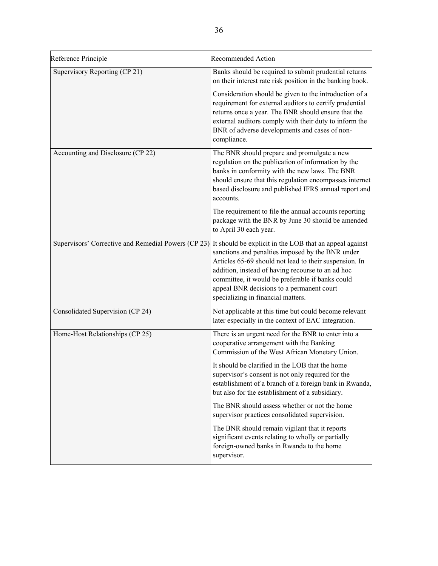| Reference Principle                                 | <b>Recommended Action</b>                                                                                                                                                                                                                                                                                                                                         |
|-----------------------------------------------------|-------------------------------------------------------------------------------------------------------------------------------------------------------------------------------------------------------------------------------------------------------------------------------------------------------------------------------------------------------------------|
| Supervisory Reporting (CP 21)                       | Banks should be required to submit prudential returns<br>on their interest rate risk position in the banking book.                                                                                                                                                                                                                                                |
|                                                     | Consideration should be given to the introduction of a<br>requirement for external auditors to certify prudential<br>returns once a year. The BNR should ensure that the<br>external auditors comply with their duty to inform the<br>BNR of adverse developments and cases of non-<br>compliance.                                                                |
| Accounting and Disclosure (CP 22)                   | The BNR should prepare and promulgate a new<br>regulation on the publication of information by the<br>banks in conformity with the new laws. The BNR<br>should ensure that this regulation encompasses internet<br>based disclosure and published IFRS annual report and<br>accounts.                                                                             |
|                                                     | The requirement to file the annual accounts reporting<br>package with the BNR by June 30 should be amended<br>to April 30 each year.                                                                                                                                                                                                                              |
| Supervisors' Corrective and Remedial Powers (CP 23) | It should be explicit in the LOB that an appeal against<br>sanctions and penalties imposed by the BNR under<br>Articles 65-69 should not lead to their suspension. In<br>addition, instead of having recourse to an ad hoc<br>committee, it would be preferable if banks could<br>appeal BNR decisions to a permanent court<br>specializing in financial matters. |
| Consolidated Supervision (CP 24)                    | Not applicable at this time but could become relevant<br>later especially in the context of EAC integration.                                                                                                                                                                                                                                                      |
| Home-Host Relationships (CP 25)                     | There is an urgent need for the BNR to enter into a<br>cooperative arrangement with the Banking<br>Commission of the West African Monetary Union.                                                                                                                                                                                                                 |
|                                                     | It should be clarified in the LOB that the home<br>supervisor's consent is not only required for the<br>establishment of a branch of a foreign bank in Rwanda,<br>but also for the establishment of a subsidiary.                                                                                                                                                 |
|                                                     | The BNR should assess whether or not the home<br>supervisor practices consolidated supervision.                                                                                                                                                                                                                                                                   |
|                                                     | The BNR should remain vigilant that it reports<br>significant events relating to wholly or partially<br>foreign-owned banks in Rwanda to the home<br>supervisor.                                                                                                                                                                                                  |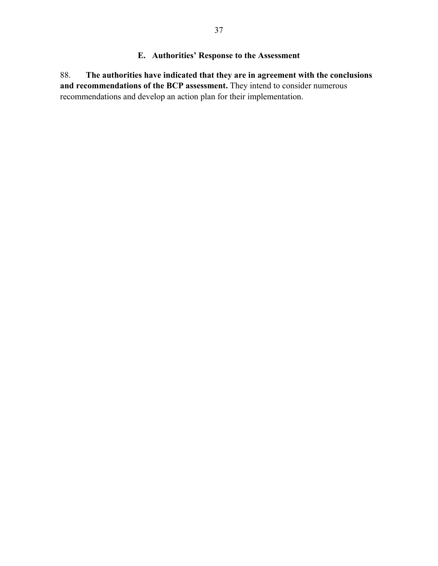### **E. Authorities' Response to the Assessment**

88. **The authorities have indicated that they are in agreement with the conclusions and recommendations of the BCP assessment.** They intend to consider numerous recommendations and develop an action plan for their implementation.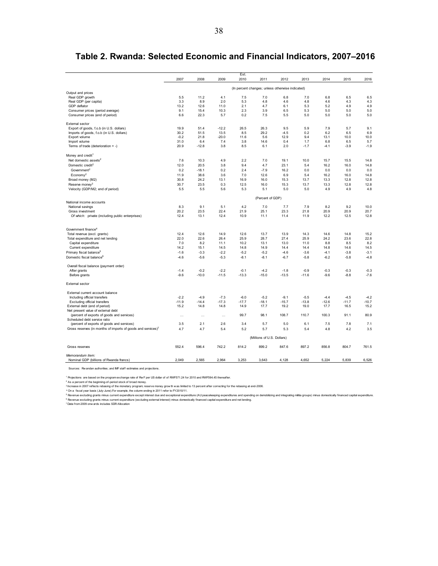|                                                                          |          |          |          | Est.    |                                                  |         |         |         |         |         |
|--------------------------------------------------------------------------|----------|----------|----------|---------|--------------------------------------------------|---------|---------|---------|---------|---------|
|                                                                          | 2007     | 2008     | 2009     | 2010    | 2011                                             | 2012    | 2013    | 2014    | 2015    | 2016    |
|                                                                          |          |          |          |         | (In percent changes; unless otherwise indicated) |         |         |         |         |         |
| Output and prices                                                        |          |          |          |         |                                                  |         |         |         |         |         |
| Real GDP growth                                                          | 5.5      | 11.2     | 4.1      | 7.5     | 7.0                                              | 6.8     | 7.0     | 6.8     | 6.5     | 6.5     |
| Real GDP (per capita)                                                    | 3.3      | 8.9      | 2.0      | 5.3     | 4.8                                              | 4.6     | 4.8     | 4.6     | 4.3     | 4.3     |
| GDP deflator                                                             | 13.2     | 12.6     | 11.0     | 2.1     | 4.7                                              | 6.1     | 5.3     | 5.2     | 4.9     | 4.9     |
| Consumer prices (period average)                                         | 9.1      | 15.4     | 10.3     | 2.3     | 3.9                                              | 6.5     | 5.3     | 5.0     | 5.0     | 5.0     |
| Consumer prices (end of period)                                          | 6.6      | 22.3     | 5.7      | 0.2     | 7.5                                              | 5.5     | 5.0     | 5.0     | 5.0     | 5.0     |
| External sector                                                          |          |          |          |         |                                                  |         |         |         |         |         |
| Export of goods, f.o.b (in U.S. dollars)                                 | 19.9     | 51.4     | $-12.2$  | 26.5    | 26.3                                             | 9.5     | 5.9     | 7.9     | 5.7     | 9.1     |
| Imports of goods, f.o.b (in U.S. dollars)                                | 30.2     | 51.5     | 13.5     | 8.5     | 29.2                                             | $-4.5$  | 0.2     | 6.2     | 6.5     | 6.9     |
| Export volume                                                            | $-0.2$   | 21.8     | $-20.0$  | 11.6    | 5.6                                              | 12.9    | 9.4     | 13.1    | 10.0    | 10.0    |
| Import volume                                                            | 31.0     | 6.4      | 7.4      | 3.8     | 14.6                                             | 0.4     | 1.7     | 6.8     | 6.5     | 5.7     |
| Terms of trade (deterioration = $-$ )                                    | 20.9     | $-12.8$  | 3.8      | 8.5     | 6.1                                              | 2.0     | $-1.7$  | $-4.1$  | $-3.9$  | $-1.9$  |
| Money and credit <sup>1</sup>                                            |          |          |          |         |                                                  |         |         |         |         |         |
| Net domestic assets <sup>2</sup>                                         | 7.6      | 10.3     | 4.9      | 2.2     | 7.0                                              | 19.1    | 10.0    | 15.7    | 15.5    | 14.8    |
| Domestic credit <sup>2</sup>                                             | 12.0     | 20.5     | 3.8      | 9.4     | 4.7                                              | 23.1    | 5.4     | 16.2    | 16.0    | 14.8    |
| Government <sup>2</sup>                                                  | 0.2      | $-18.1$  | 0.2      | 2.4     | $-7.9$                                           | 16.2    | 0.0     | 0.0     | 0.0     | 0.0     |
| $E_{\rm conomy2}$                                                        | 11.9     | 38.6     | 3.6      | 7.0     | 12.6                                             | 6.9     | 5.4     | 16.2    | 16.0    | 14.8    |
| Broad money (M2)                                                         | 30.8     | 24.2     | 13.1     | 16.9    | 16.0                                             | 15.3    | 13.7    | 13.3    | 12.8    | 12.8    |
| Reserve money <sup>3</sup>                                               | 30.7     | 23.5     | 0.3      | 12.5    | 16.0                                             | 15.3    | 13.7    | 13.3    | 12.8    | 12.8    |
| Velocity (GDP/M2; end of period)                                         | 5.5      | 5.5      | 5.6      | 5.3     | 5.1                                              | 5.0     | 5.0     | 4.9     | 4.9     | 4.8     |
|                                                                          |          |          |          |         | (Percent of GDP)                                 |         |         |         |         |         |
| National income accounts                                                 |          |          |          |         |                                                  |         |         |         |         |         |
| National savings                                                         | 8.3      | 9.1      | 5.1      | 4.2     | 7.0                                              | 7.7     | 7.9     | 8.2     | 9.2     | 10.0    |
| Gross investment                                                         | 20.2     | 23.5     | 22.4     | 21.9    | 25.1                                             | 23.3    | 21.8    | 20.9    | 20.9    | 20.7    |
| Of which: private (including public enterprises)                         | 12.4     | 13.1     | 12.4     | 10.9    | 11.1                                             | 11.4    | 11.9    | 12.2    | 12.5    | 12.8    |
|                                                                          |          |          |          |         |                                                  |         |         |         |         |         |
| Government finance <sup>4</sup>                                          | 12.4     | 12.6     | 14.9     | 12.6    | 13.7                                             | 13.9    | 14.3    | 14.6    | 14.8    | 15.2    |
| Total revenue (excl. grants)<br>Total expenditure and net lending        | 22.0     | 22.6     | 26.4     | 25.9    | 28.7                                             | 27.4    | 25.9    | 24.2    | 23.6    | 22.8    |
| Capital expenditure                                                      | 7.0      | 8.2      | 11.1     | 10.2    | 13.1                                             | 13.0    | 11.0    | 8.8     | 8.5     | 8.2     |
| Current expenditure                                                      | 14.2     | 15.1     | 14.5     | 14.8    | 14.9                                             | 14.4    | 14.4    | 14.8    | 14.6    | 14.5    |
| Primary fiscal balance <sup>5</sup>                                      | $-1.6$   | $-3.3$   | $-2.2$   | $-5.2$  | $-5.2$                                           | $-4.6$  | $-3.6$  | $-4.1$  | $-3.8$  | $-3.1$  |
| Domestic fiscal balance <sup>6</sup>                                     | $-4.6$   | $-5.6$   | $-5.3$   | $-8.1$  | $-8.1$                                           | $-6.7$  | $-5.8$  | $-6.2$  | $-5.8$  | $-4.8$  |
|                                                                          |          |          |          |         |                                                  |         |         |         |         |         |
| Overall fiscal balance (payment order)                                   |          |          |          |         |                                                  |         |         |         |         |         |
| After grants                                                             | $-1.4$   | $-0.2$   | $-2.2$   | $-0.1$  | $-4.2$                                           | $-1.8$  | $-0.9$  | $-0.3$  | $-0.3$  | $-0.3$  |
| Before grants                                                            | $-9.6$   | $-10.0$  | $-11.5$  | $-13.3$ | $-15.0$                                          | $-13.5$ | $-11.6$ | $-9.6$  | $-8.8$  | $-7.6$  |
| External sector                                                          |          |          |          |         |                                                  |         |         |         |         |         |
| External current account balance                                         |          |          |          |         |                                                  |         |         |         |         |         |
| Including official transfers                                             | $-2.2$   | $-4.9$   | $-7.3$   | $-6.0$  | $-5.2$                                           | $-9.1$  | $-5.5$  | $-4.4$  | $-4.5$  | $-4.2$  |
| <b>Excluding official transfers</b>                                      | $-11.9$  | $-14.4$  | $-17.3$  | $-17.7$ | $-18.1$                                          | $-15.7$ | $-13.8$ | $-12.6$ | $-11.7$ | $-10.7$ |
| External debt (end of period)                                            | 15.2     | 14.8     | 14.8     | 14.9    | 17.7                                             | 19.2    | 19.0    | 17.7    | 16.5    | 15.2    |
| Net present value of external debt                                       |          |          |          |         |                                                  |         |         |         |         |         |
| (percent of exports of goods and services)                               | $\cdots$ | $\cdots$ | $\cdots$ | 99.7    | 98.1                                             | 108.7   | 110.7   | 100.3   | 91.1    | 80.9    |
| Scheduled debt service ratio                                             |          |          |          |         |                                                  |         |         |         |         |         |
| (percent of exports of goods and services)                               | 3.5      | 2.1      | 2.6      | 3.4     | 5.7                                              | 5.0     | 6.1     | 7.5     | 7.8     | 7.1     |
| Gross reserves (in months of imports of goods and services) <sup>7</sup> | 4.7      | 4.7      | 5.4      | 5.2     | 5.7                                              | 5.3     | 5.4     | 4.8     | 4.2     | 3.5     |
|                                                                          |          |          |          |         | (Millions of U.S. Dollars)                       |         |         |         |         |         |
| Gross reserves                                                           | 552.4    | 596.4    | 742.2    | 814.2   | 899.2                                            | 847.6   | 897.2   | 856.8   | 804.7   | 761.5   |
| Memorandum item:                                                         |          |          |          |         |                                                  |         |         |         |         |         |
| Nominal GDP (billions of Rwanda francs)                                  | 2,049    | 2,565    | 2,964    | 3,253   | 3,643                                            | 4,128   | 4,652   | 5,224   | 5,839   | 6,526   |
|                                                                          |          |          |          |         |                                                  |         |         |         |         |         |

### **Table 2. Rwanda: Selected Economic and Financial Indicators, 2007–2016**

Sources: Rw andan authorities; and IMF staff estimates and projections.

1 Projections are based on the program exchange rate of Rw F per US dollar of of RWF571.24 for 2010 and RWF594.45 thereafter.

<sup>2</sup> As a percent of the beginning-of-period stock of broad money.<br><sup>→</sup> horease in 2007 reflexs rebasing of the monetary program; reserve money growth was limited to 13 percent after correcting for the rebasing at end-2006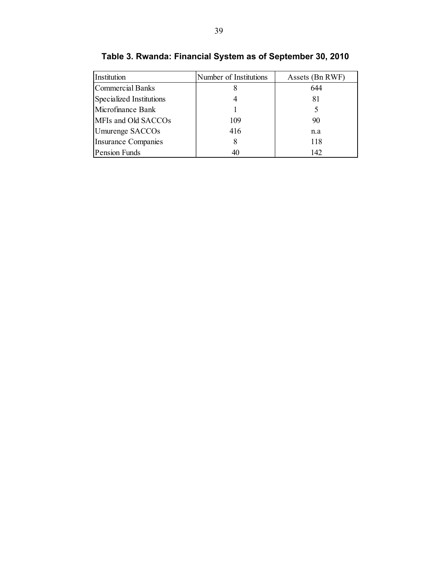| Institution              | Number of Institutions | Assets (Bn RWF) |
|--------------------------|------------------------|-----------------|
| <b>Commercial Banks</b>  |                        | 644             |
| Specialized Institutions |                        | 81              |
| Microfinance Bank        |                        |                 |
| MFIs and Old SACCOs      | 109                    | 90              |
| Umurenge SACCOs          | 416                    | n.a             |
| Insurance Companies      |                        | 118             |
| Pension Funds            | 40                     | 142             |

**Table 3. Rwanda: Financial System as of September 30, 2010**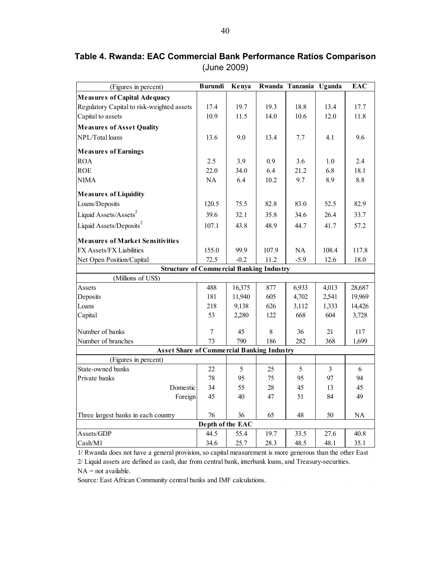| (Figures in percent)                              | <b>Burundi</b><br>Kenya |        |       | Rwanda Tanzania Uganda |                | <b>EAC</b> |
|---------------------------------------------------|-------------------------|--------|-------|------------------------|----------------|------------|
| <b>Measures of Capital Adequacy</b>               |                         |        |       |                        |                |            |
| Regulatory Capital to risk-weighted assets        | 17.4                    | 19.7   | 19.3  | 18.8                   | 13.4           | 17.7       |
| Capital to assets                                 | 10.9                    | 11.5   | 14.0  | 10.6                   | 12.0           | 11.8       |
| <b>Measures of Asset Quality</b>                  |                         |        |       |                        |                |            |
| NPL/Total loans                                   | 13.6                    | 9.0    | 13.4  | 7.7                    | 4.1            | 9.6        |
| <b>Measures of Earnings</b>                       |                         |        |       |                        |                |            |
| <b>ROA</b>                                        | 2.5                     | 3.9    | 0.9   | 3.6                    | 1.0            | 2.4        |
| <b>ROE</b>                                        | 22.0                    | 34.0   | 6.4   | 21.2                   | 6.8            | 18.1       |
| <b>NIMA</b>                                       | NA                      | 6.4    | 10.2  | 9.7                    | 8.9            | 8.8        |
| <b>Measures of Liquidity</b>                      |                         |        |       |                        |                |            |
| Loans/Deposits                                    | 120.5                   | 75.5   | 82.8  | 83.0                   | 52.5           | 82.9       |
| Liquid Assets/Assets <sup>2</sup>                 | 39.6                    | 32.1   | 35.8  | 34.6                   | 26.4           | 33.7       |
| Liquid Assets/Deposits <sup>2</sup>               | 107.1                   | 43.8   | 48.9  | 44.7                   | 41.7           | 57.2       |
| <b>Measures of Market Sensitivities</b>           |                         |        |       |                        |                |            |
| FX Assets/FX Liabilities                          | 155.0                   | 99.9   | 107.9 | NA                     | 108.4          | 117.8      |
| Net Open Position/Capital                         | 72.5                    | $-0.2$ | 11.2  | $-5.9$                 | 12.6           | 18.0       |
| <b>Structure of Commercial Banking Industry</b>   |                         |        |       |                        |                |            |
| (Millions of US\$)                                |                         |        |       |                        |                |            |
| Assets                                            | 488                     | 16,375 | 877   | 6,933                  | 4,013          | 28,687     |
| Deposits                                          | 181                     | 11,940 | 605   | 4,702                  | 2,541          | 19,969     |
| Loans                                             | 218                     | 9,138  | 626   | 3,112                  | 1,333          | 14,426     |
| Capital                                           | 53                      | 2,280  | 122   | 668                    | 604            | 3,728      |
| Number of banks                                   | 7                       | 45     | 8     | 36                     | 21             | 117        |
| Number of branches                                | 73                      | 790    | 186   | 282                    | 368            | 1,699      |
| <b>Asset Share of Commercial Banking Industry</b> |                         |        |       |                        |                |            |
| (Figures in percent)                              |                         |        |       |                        |                |            |
| State-owned banks                                 | 22                      | 5      | 25    | 5                      | $\overline{3}$ | 6          |
| Private banks                                     | 78                      | 95     | 75    | 95                     | 97             | 94         |
| Domestic                                          | 34                      | 55     | 28    | 45                     | 13             | 45         |
| Foreign                                           | 45                      | 40     | 47    | 51                     | 84             | 49         |
| Three largest banks in each country               | 76                      | 36     | 65    | 48                     | 50             | NA         |
|                                                   | Depth of the EAC        |        |       |                        |                |            |
| Assets/GDP                                        | 44.5                    | 55.4   | 19.7  | 33.5                   | 27.6           | 40.8       |
| Cash/M1                                           | 34.6                    | 25.7   | 28.3  | 48.5                   | 48.1           | 35.1       |

**Table 4. Rwanda: EAC Commercial Bank Performance Ratios Comparison**  (June 2009)

1/ Rwanda does not have a general provision, so capital measurement is more generous than the other East

 $NA = not available.$ 2/ Liquid assets are defined as cash, due from central bank, interbank loans, and Treasury-securities.

Source: East African Community central banks and IMF calculations.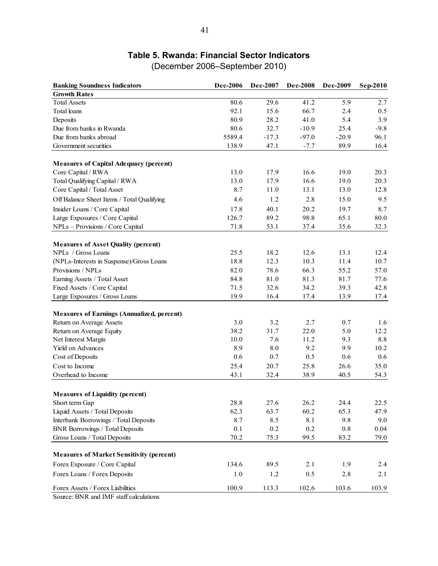# **Table 5. Rwanda: Financial Sector Indicators**

| <b>Banking Soundness Indicators</b>                                             | <b>Dec-2006</b> | Dec-2007    | <b>Dec-2008</b> | <b>Dec-2009</b> | Sep-2010     |
|---------------------------------------------------------------------------------|-----------------|-------------|-----------------|-----------------|--------------|
| <b>Growth Rates</b>                                                             |                 |             |                 |                 |              |
| <b>Total Assets</b>                                                             | 80.6            | 29.6        | 41.2            | 5.9             | 2.7          |
| <b>Total</b> loans                                                              | 92.1            | 15.6        | 66.7            | 2.4             | 0.5          |
| Deposits                                                                        | 80.9            | 28.2        | 41.0            | 5.4             | 3.9          |
| Due from banks in Rwanda                                                        | 80.6            | 32.7        | $-10.9$         | 25.4            | $-9.8$       |
| Due from banks abroad                                                           | 5589.4          | $-17.3$     | $-97.0$         | $-20.9$         | 96.1         |
| Government securities                                                           | 138.9           | 47.1        | $-7.7$          | 89.9            | 16.4         |
|                                                                                 |                 |             |                 |                 |              |
| <b>Measures of Capital Adequacy (percent)</b>                                   |                 |             |                 |                 |              |
| Core Capital / RWA                                                              | 13.0            | 17.9        | 16.6            | 19.0            | 20.3         |
| Total Qualifying Capital / RWA                                                  | 13.0            | 17.9        | 16.6            | 19.0            | 20.3         |
| Core Capital / Total Asset                                                      | 8.7             | 11.0        | 13.1            | 13.0            | 12.8         |
| Off Balance Sheet Items / Total Qualifying                                      | 4.6             | 1.2         | 2.8             | 15.0            | 9.5          |
| Insider Loans / Core Capital                                                    | 17.8            | 40.1        | 20.2            | 19.7            | 8.7          |
| Large Exposures / Core Capital                                                  | 126.7           | 89.2        | 98.8            | 65.1            | 80.0         |
| NPLs - Provisions / Core Capital                                                | 71.8            | 53.1        | 37.4            | 35.6            | 32.3         |
|                                                                                 |                 |             |                 |                 |              |
| <b>Measures of Asset Quality (percent)</b>                                      |                 |             |                 |                 |              |
| NPLs / Gross Loans                                                              | 25.5            | 18.2        | 12.6            | 13.1            | 12.4         |
| (NPLs-Interests in Suspense)/Gross Loans                                        | 18.8            | 12.3        | 10.3            | 11.4            | 10.7         |
| Provisions / NPLs                                                               | 82.0            | 78.6        | 66.3            | 55.2            | 57.0         |
| Earning Assets / Total Asset                                                    | 84.8            | 81.0        | 81.3            | 81.7            | 77.6         |
| Fixed Assets / Core Capital                                                     | 71.5            | 32.6        | 34.2            | 39.3            | 42.8         |
| Large Exposures / Gross Loans                                                   | 19.9            | 16.4        | 17.4            | 13.9            | 17.4         |
|                                                                                 |                 |             |                 |                 |              |
| <b>Measures of Earnings (Annualized, percent)</b>                               |                 |             |                 |                 |              |
| Return on Average Assets                                                        | 3.0<br>38.2     | 3.2<br>31.7 | 2.7             | 0.7             | 1.6<br>12.2  |
| Return on Average Equity<br>Net Interest Margin                                 | 10.0            | 7.6         | 22.0<br>11.2    | 5.0<br>9.3      | 8.8          |
| Yield on Advances                                                               | 8.9             | 8.0         | 9.2             | 9.9             | 10.2         |
| Cost of Deposits                                                                | 0.6             | 0.7         | 0.5             | 0.6             | 0.6          |
|                                                                                 |                 |             |                 |                 |              |
| Cost to Income                                                                  | 25.4            | 20.7        | 25.8            | 26.6            | 35.0         |
| Overhead to Income                                                              | 43.1            | 32.4        | 38.9            | 40.5            | 54.3         |
|                                                                                 |                 |             |                 |                 |              |
| <b>Measures of Liquidity (percent)</b><br>Short term Gap                        | 28.8            | 27.6        | 26.2            | 24.4            |              |
| Liquid Assets / Total Deposits                                                  | 62.3            | 63.7        | 60.2            | 65.3            | 22.5<br>47.9 |
|                                                                                 | 8.7             |             |                 |                 |              |
| Interbank Borrowings / Total Deposits<br><b>BNR Borrowings / Total Deposits</b> |                 | 8.5         | 8.1             | 9.8             | 9.0          |
|                                                                                 | $0.1\,$         | $0.2\,$     | $0.2\,$         | $0.8\,$         | 0.04         |
| Gross Loans / Total Deposits                                                    | 70.2            | 75.3        | 99.5            | 83.2            | 79.0         |
| <b>Measures of Market Sensitivity (percent)</b>                                 |                 |             |                 |                 |              |
| Forex Exposure / Core Capital                                                   | 134.6           | 89.5        | 2.1             | 1.9             | $2.4\,$      |
| Forex Loans / Forex Deposits                                                    | 1.0             | 1.2         | 0.5             | 2.8             | 2.1          |
| Forex Assets / Forex Liabilities                                                | 100.9           | 113.3       | 102.6           | 103.6           | 103.9        |
|                                                                                 |                 |             |                 |                 |              |

(December 2006–September 2010)

Source: BNR and IMF staff calculations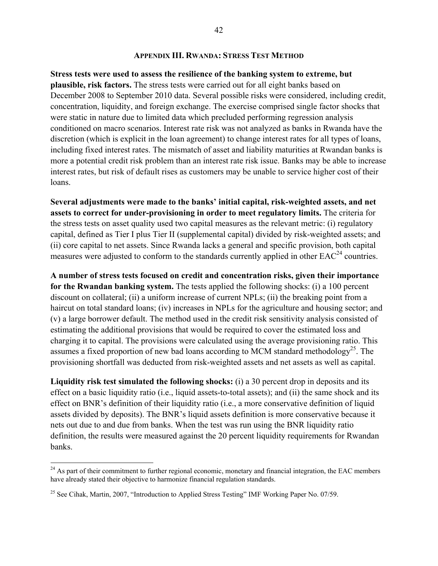#### **APPENDIX III. RWANDA: STRESS TEST METHOD**

**Stress tests were used to assess the resilience of the banking system to extreme, but plausible, risk factors.** The stress tests were carried out for all eight banks based on December 2008 to September 2010 data. Several possible risks were considered, including credit, concentration, liquidity, and foreign exchange. The exercise comprised single factor shocks that were static in nature due to limited data which precluded performing regression analysis conditioned on macro scenarios. Interest rate risk was not analyzed as banks in Rwanda have the discretion (which is explicit in the loan agreement) to change interest rates for all types of loans, including fixed interest rates. The mismatch of asset and liability maturities at Rwandan banks is more a potential credit risk problem than an interest rate risk issue. Banks may be able to increase interest rates, but risk of default rises as customers may be unable to service higher cost of their loans.

**Several adjustments were made to the banks' initial capital, risk-weighted assets, and net assets to correct for under-provisioning in order to meet regulatory limits.** The criteria for the stress tests on asset quality used two capital measures as the relevant metric: (i) regulatory capital, defined as Tier I plus Tier II (supplemental capital) divided by risk-weighted assets; and (ii) core capital to net assets. Since Rwanda lacks a general and specific provision, both capital measures were adjusted to conform to the standards currently applied in other  $EAC<sup>24</sup>$  countries.

**A number of stress tests focused on credit and concentration risks, given their importance for the Rwandan banking system.** The tests applied the following shocks: (i) a 100 percent discount on collateral; (ii) a uniform increase of current NPLs; (ii) the breaking point from a haircut on total standard loans; (iv) increases in NPLs for the agriculture and housing sector; and (v) a large borrower default. The method used in the credit risk sensitivity analysis consisted of estimating the additional provisions that would be required to cover the estimated loss and charging it to capital. The provisions were calculated using the average provisioning ratio. This assumes a fixed proportion of new bad loans according to MCM standard methodology<sup>25</sup>. The provisioning shortfall was deducted from risk-weighted assets and net assets as well as capital.

**Liquidity risk test simulated the following shocks:** (i) a 30 percent drop in deposits and its effect on a basic liquidity ratio (i.e., liquid assets-to-total assets); and (ii) the same shock and its effect on BNR's definition of their liquidity ratio (i.e., a more conservative definition of liquid assets divided by deposits). The BNR's liquid assets definition is more conservative because it nets out due to and due from banks. When the test was run using the BNR liquidity ratio definition, the results were measured against the 20 percent liquidity requirements for Rwandan banks.

 $\overline{a}$ 

 $^{24}$  As part of their commitment to further regional economic, monetary and financial integration, the EAC members have already stated their objective to harmonize financial regulation standards.

<sup>&</sup>lt;sup>25</sup> See Cihak, Martin, 2007, "Introduction to Applied Stress Testing" IMF Working Paper No. 07/59.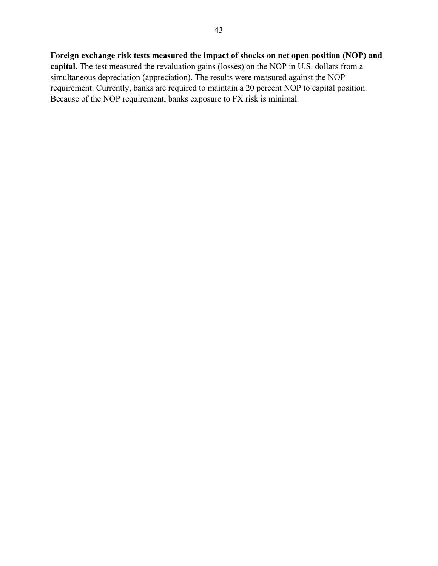### **Foreign exchange risk tests measured the impact of shocks on net open position (NOP) and**

**capital.** The test measured the revaluation gains (losses) on the NOP in U.S. dollars from a simultaneous depreciation (appreciation). The results were measured against the NOP requirement. Currently, banks are required to maintain a 20 percent NOP to capital position. Because of the NOP requirement, banks exposure to FX risk is minimal.